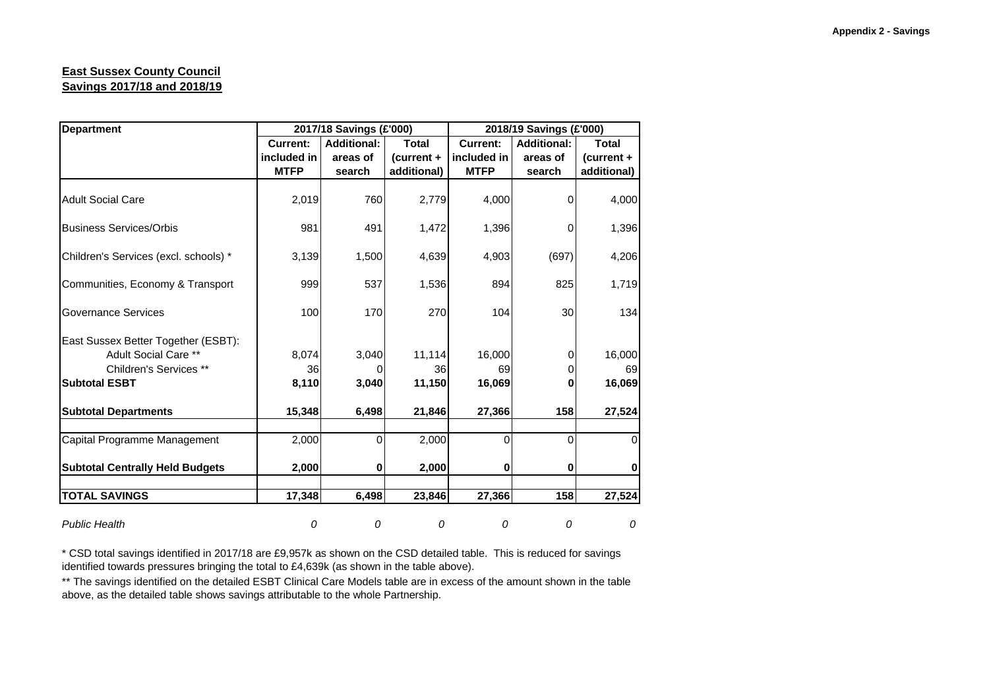## **East Sussex County Council Savings 2017/18 and 2018/19**

| <b>Department</b>                      |                 | 2017/18 Savings (£'000) |              | 2018/19 Savings (£'000) |                    |              |  |
|----------------------------------------|-----------------|-------------------------|--------------|-------------------------|--------------------|--------------|--|
|                                        | <b>Current:</b> | <b>Additional:</b>      | <b>Total</b> | <b>Current:</b>         | <b>Additional:</b> | <b>Total</b> |  |
|                                        | included in     | areas of                | (current +   | included in             | areas of           | (current +   |  |
|                                        | <b>MTFP</b>     | search                  | additional)  | <b>MTFP</b>             | search             | additional)  |  |
| <b>Adult Social Care</b>               | 2,019           | 760                     | 2,779        | 4,000                   | 0                  | 4,000        |  |
| <b>Business Services/Orbis</b>         | 981             | 491                     | 1,472        | 1,396                   | 0                  | 1,396        |  |
| Children's Services (excl. schools) *  | 3,139           | 1,500                   | 4,639        | 4,903                   | (697)              | 4,206        |  |
| Communities, Economy & Transport       | 999             | 537                     | 1,536        | 894                     | 825                | 1,719        |  |
| Governance Services                    | 100             | 170                     | 270          | 104                     | 30                 | 134          |  |
| East Sussex Better Together (ESBT):    |                 |                         |              |                         |                    |              |  |
| Adult Social Care **                   | 8,074           | 3,040                   | 11,114       | 16,000                  | 0                  | 16,000       |  |
| Children's Services **                 | 36              | O                       | 36           | 69                      |                    | 69           |  |
| <b>Subtotal ESBT</b>                   | 8,110           | 3,040                   | 11,150       | 16,069                  | ŋ                  | 16,069       |  |
| <b>Subtotal Departments</b>            | 15,348          | 6,498                   | 21,846       | 27,366                  | 158                | 27,524       |  |
| Capital Programme Management           | 2,000           | 0                       | 2,000        | 0                       | $\Omega$           | O            |  |
| <b>Subtotal Centrally Held Budgets</b> | 2,000           | 0                       | 2,000        | $\mathbf 0$             | 0                  | 0            |  |
| <b>TOTAL SAVINGS</b>                   | 17,348          | 6,498                   | 23,846       | 27,366                  | 158                | 27,524       |  |
| <b>Public Health</b>                   | 0               | 0                       | 0            | 0                       | 0                  | 0            |  |

\* CSD total savings identified in 2017/18 are £9,957k as shown on the CSD detailed table. This is reduced for savings identified towards pressures bringing the total to £4,639k (as shown in the table above).

\*\* The savings identified on the detailed ESBT Clinical Care Models table are in excess of the amount shown in the table above, as the detailed table shows savings attributable to the whole Partnership.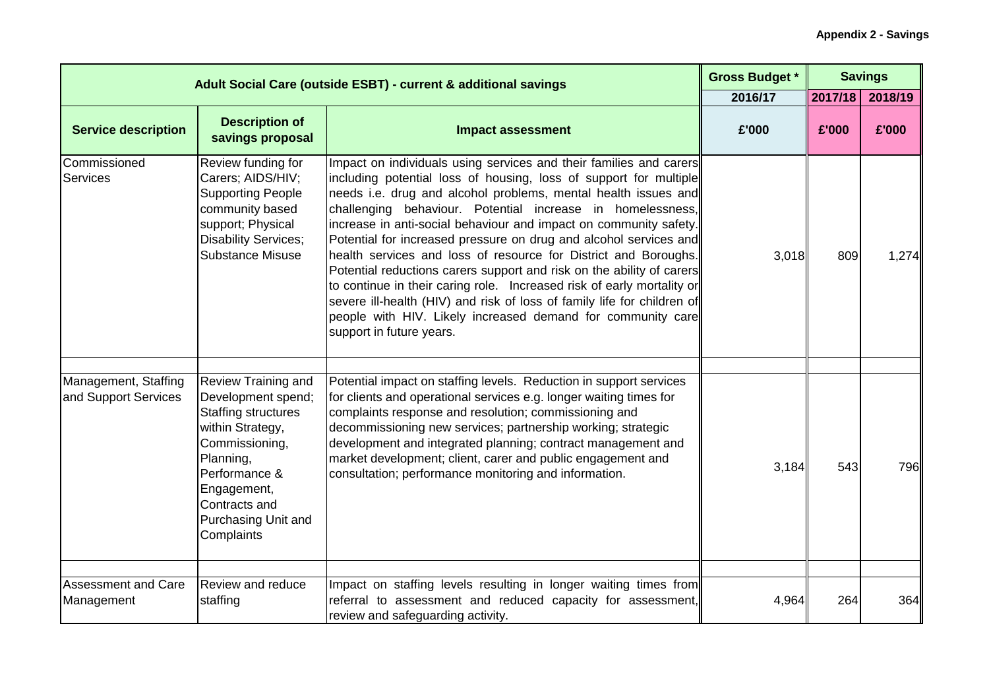|                                              | Adult Social Care (outside ESBT) - current & additional savings                                                                                                                                                         |                                                                                                                                                                                                                                                                                                                                                                                                                                                                                                                                                                                                                                                                                                                                                                                                               | <b>Gross Budget *</b><br>2016/17 | 2017/18 | <b>Savings</b><br>2018/19 |
|----------------------------------------------|-------------------------------------------------------------------------------------------------------------------------------------------------------------------------------------------------------------------------|---------------------------------------------------------------------------------------------------------------------------------------------------------------------------------------------------------------------------------------------------------------------------------------------------------------------------------------------------------------------------------------------------------------------------------------------------------------------------------------------------------------------------------------------------------------------------------------------------------------------------------------------------------------------------------------------------------------------------------------------------------------------------------------------------------------|----------------------------------|---------|---------------------------|
| <b>Service description</b>                   | <b>Description of</b><br>savings proposal                                                                                                                                                                               | <b>Impact assessment</b>                                                                                                                                                                                                                                                                                                                                                                                                                                                                                                                                                                                                                                                                                                                                                                                      | £'000                            | £'000   | £'000                     |
| Commissioned<br><b>Services</b>              | Review funding for<br>Carers; AIDS/HIV;<br><b>Supporting People</b><br>community based<br>support; Physical<br><b>Disability Services;</b><br><b>Substance Misuse</b>                                                   | Impact on individuals using services and their families and carers<br>including potential loss of housing, loss of support for multiple<br>needs i.e. drug and alcohol problems, mental health issues and<br>challenging behaviour. Potential increase in homelessness,<br>increase in anti-social behaviour and impact on community safety.<br>Potential for increased pressure on drug and alcohol services and<br>health services and loss of resource for District and Boroughs.<br>Potential reductions carers support and risk on the ability of carers<br>to continue in their caring role. Increased risk of early mortality or<br>severe ill-health (HIV) and risk of loss of family life for children of<br>people with HIV. Likely increased demand for community care<br>support in future years. | 3,018                            | 809     | 1,274                     |
| Management, Staffing<br>and Support Services | <b>Review Training and</b><br>Development spend;<br><b>Staffing structures</b><br>within Strategy,<br>Commissioning,<br>Planning,<br>Performance &<br>Engagement,<br>Contracts and<br>Purchasing Unit and<br>Complaints | Potential impact on staffing levels. Reduction in support services<br>for clients and operational services e.g. longer waiting times for<br>complaints response and resolution; commissioning and<br>decommissioning new services; partnership working; strategic<br>development and integrated planning; contract management and<br>market development; client, carer and public engagement and<br>consultation; performance monitoring and information.                                                                                                                                                                                                                                                                                                                                                     | 3,184                            | 543     | 796                       |
| <b>Assessment and Care</b><br>Management     | <b>Review and reduce</b><br>staffing                                                                                                                                                                                    | Impact on staffing levels resulting in longer waiting times from<br>referral to assessment and reduced capacity for assessment,                                                                                                                                                                                                                                                                                                                                                                                                                                                                                                                                                                                                                                                                               | 4,964                            | 264     | 364                       |
|                                              |                                                                                                                                                                                                                         | review and safeguarding activity.                                                                                                                                                                                                                                                                                                                                                                                                                                                                                                                                                                                                                                                                                                                                                                             |                                  |         |                           |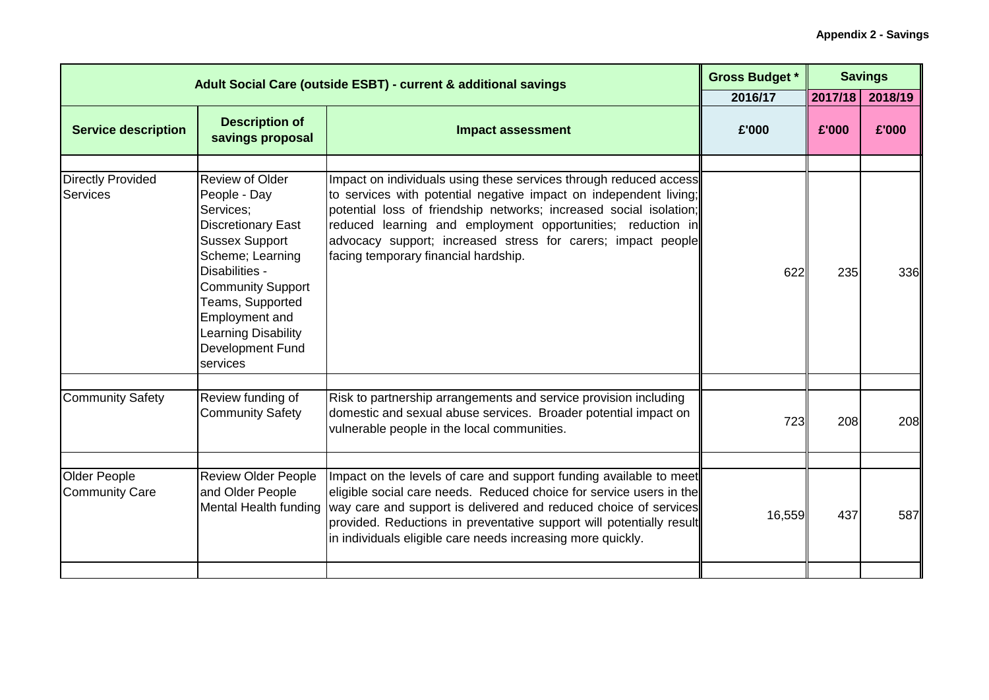| Adult Social Care (outside ESBT) - current & additional savings |                                                                                                                                                                                                                                                              | <b>Gross Budget *</b>                                                                                                                                                                                                                                                                                                                                                               |         | <b>Savings</b> |         |
|-----------------------------------------------------------------|--------------------------------------------------------------------------------------------------------------------------------------------------------------------------------------------------------------------------------------------------------------|-------------------------------------------------------------------------------------------------------------------------------------------------------------------------------------------------------------------------------------------------------------------------------------------------------------------------------------------------------------------------------------|---------|----------------|---------|
|                                                                 |                                                                                                                                                                                                                                                              |                                                                                                                                                                                                                                                                                                                                                                                     | 2016/17 | 2017/18        | 2018/19 |
| <b>Service description</b>                                      | <b>Description of</b><br>savings proposal                                                                                                                                                                                                                    | <b>Impact assessment</b>                                                                                                                                                                                                                                                                                                                                                            | £'000   | £'000          | £'000   |
| <b>Directly Provided</b><br><b>Services</b>                     | Review of Older<br>People - Day<br>Services:<br><b>Discretionary East</b><br><b>Sussex Support</b><br>Scheme; Learning<br>Disabilities -<br><b>Community Support</b><br>Teams, Supported<br>Employment and<br>Learning Disability<br><b>Development Fund</b> | Impact on individuals using these services through reduced access<br>to services with potential negative impact on independent living;<br>potential loss of friendship networks; increased social isolation;<br>reduced learning and employment opportunities; reduction in<br>advocacy support; increased stress for carers; impact people<br>facing temporary financial hardship. | 622     | 235            | 336     |
| <b>Community Safety</b>                                         | services<br>Review funding of<br><b>Community Safety</b>                                                                                                                                                                                                     | Risk to partnership arrangements and service provision including<br>domestic and sexual abuse services. Broader potential impact on                                                                                                                                                                                                                                                 |         |                |         |
|                                                                 |                                                                                                                                                                                                                                                              | vulnerable people in the local communities.                                                                                                                                                                                                                                                                                                                                         | 723     | 208            | 208     |
| Older People<br><b>Community Care</b>                           | <b>Review Older People</b><br>and Older People<br>Mental Health funding                                                                                                                                                                                      | Impact on the levels of care and support funding available to meet<br>eligible social care needs. Reduced choice for service users in the<br>way care and support is delivered and reduced choice of services<br>provided. Reductions in preventative support will potentially result<br>in individuals eligible care needs increasing more quickly.                                | 16,559  | 437            | 587     |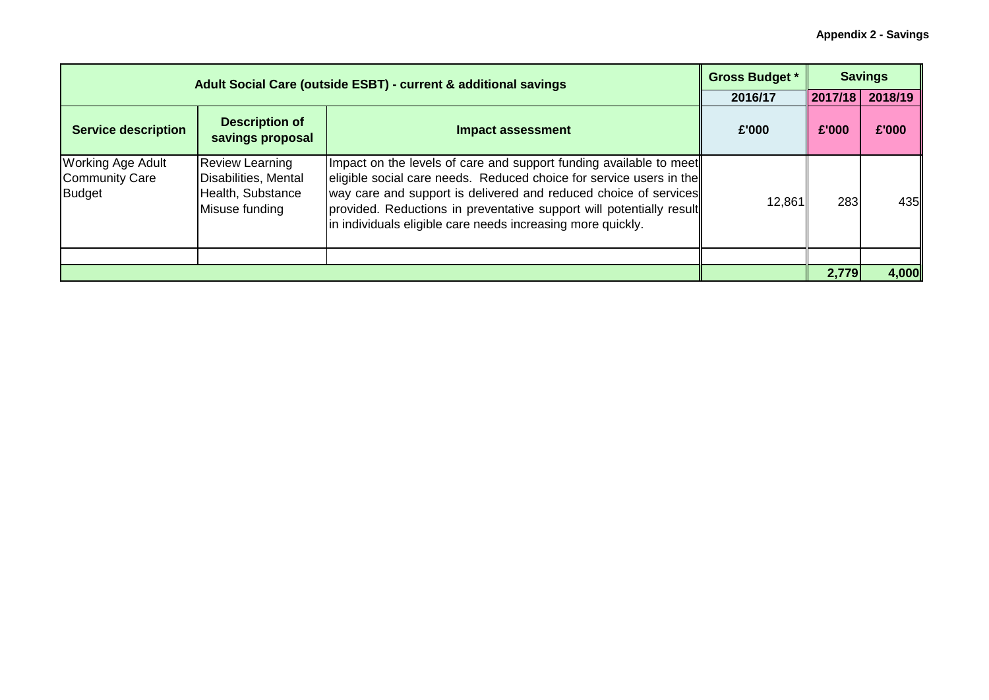|                                                             | Adult Social Care (outside ESBT) - current & additional savings                       |                                                                                                                                                                                                                                                                                                                                                      |         |         | <b>Savings</b> |
|-------------------------------------------------------------|---------------------------------------------------------------------------------------|------------------------------------------------------------------------------------------------------------------------------------------------------------------------------------------------------------------------------------------------------------------------------------------------------------------------------------------------------|---------|---------|----------------|
|                                                             |                                                                                       |                                                                                                                                                                                                                                                                                                                                                      | 2016/17 | 2017/18 | 2018/19        |
| <b>Service description</b>                                  | <b>Description of</b><br>savings proposal                                             | <b>Impact assessment</b>                                                                                                                                                                                                                                                                                                                             | £'000   | £'000   | £'000          |
| <b>Working Age Adult</b><br><b>Community Care</b><br>Budget | <b>Review Learning</b><br>Disabilities, Mental<br>Health, Substance<br>Misuse funding | Impact on the levels of care and support funding available to meet<br>eligible social care needs. Reduced choice for service users in the<br>way care and support is delivered and reduced choice of services<br>provided. Reductions in preventative support will potentially result<br>in individuals eligible care needs increasing more quickly. | 12,861  | 283     | 435            |
|                                                             |                                                                                       |                                                                                                                                                                                                                                                                                                                                                      |         |         |                |
|                                                             |                                                                                       |                                                                                                                                                                                                                                                                                                                                                      |         | 2,779   | 4,000          |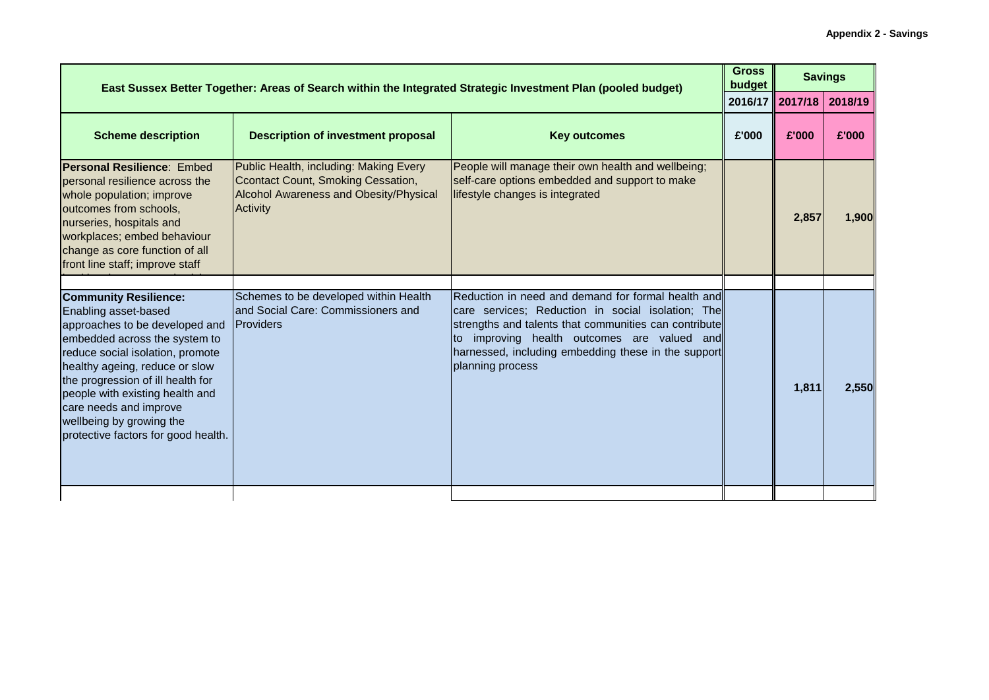| East Sussex Better Together: Areas of Search within the Integrated Strategic Investment Plan (pooled budget)                                                                                                                                                                                                                                                       |                                                                                                                                                  |                                                                                                                                                                                                                                                                                         |       |                   | <b>Savings</b> |
|--------------------------------------------------------------------------------------------------------------------------------------------------------------------------------------------------------------------------------------------------------------------------------------------------------------------------------------------------------------------|--------------------------------------------------------------------------------------------------------------------------------------------------|-----------------------------------------------------------------------------------------------------------------------------------------------------------------------------------------------------------------------------------------------------------------------------------------|-------|-------------------|----------------|
|                                                                                                                                                                                                                                                                                                                                                                    |                                                                                                                                                  |                                                                                                                                                                                                                                                                                         |       | 2016/17   2017/18 | 2018/19        |
| <b>Scheme description</b>                                                                                                                                                                                                                                                                                                                                          | <b>Description of investment proposal</b>                                                                                                        | <b>Key outcomes</b>                                                                                                                                                                                                                                                                     | £'000 | £'000             | £'000          |
| <b>Personal Resilience: Embed</b><br>personal resilience across the<br>whole population; improve<br>outcomes from schools,<br>nurseries, hospitals and<br>workplaces; embed behaviour<br>change as core function of all<br>front line staff; improve staff                                                                                                         | Public Health, including: Making Every<br>Ccontact Count, Smoking Cessation,<br><b>Alcohol Awareness and Obesity/Physical</b><br><b>Activity</b> | People will manage their own health and wellbeing;<br>self-care options embedded and support to make<br>lifestyle changes is integrated                                                                                                                                                 |       | 2,857             | 1.900          |
|                                                                                                                                                                                                                                                                                                                                                                    |                                                                                                                                                  |                                                                                                                                                                                                                                                                                         |       |                   |                |
| <b>Community Resilience:</b><br>Enabling asset-based<br>approaches to be developed and<br>embedded across the system to<br>reduce social isolation, promote<br>healthy ageing, reduce or slow<br>the progression of ill health for<br>people with existing health and<br>care needs and improve<br>wellbeing by growing the<br>protective factors for good health. | Schemes to be developed within Health<br>land Social Care: Commissioners and<br><b>IProviders</b>                                                | Reduction in need and demand for formal health and<br>care services; Reduction in social isolation; The<br>strengths and talents that communities can contribute<br>improving health outcomes are valued and<br>harnessed, including embedding these in the support<br>planning process |       | 1,811             | 2,550          |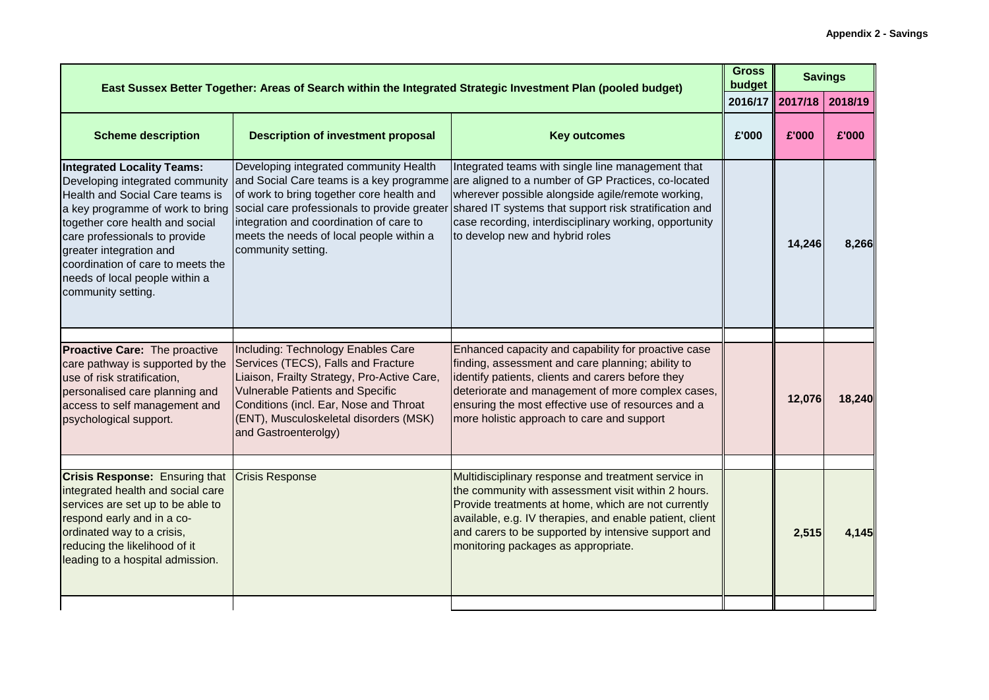| East Sussex Better Together: Areas of Search within the Integrated Strategic Investment Plan (pooled budget)                                                                                                                                                                                        |                                                                                                                                                                                                                                                                                 |                                                                                                                                                                                                                                                                                                                                                                                                                                             |       |                 | <b>Savings</b> |
|-----------------------------------------------------------------------------------------------------------------------------------------------------------------------------------------------------------------------------------------------------------------------------------------------------|---------------------------------------------------------------------------------------------------------------------------------------------------------------------------------------------------------------------------------------------------------------------------------|---------------------------------------------------------------------------------------------------------------------------------------------------------------------------------------------------------------------------------------------------------------------------------------------------------------------------------------------------------------------------------------------------------------------------------------------|-------|-----------------|----------------|
|                                                                                                                                                                                                                                                                                                     | 2016/17                                                                                                                                                                                                                                                                         |                                                                                                                                                                                                                                                                                                                                                                                                                                             |       | 2017/18 2018/19 |                |
| <b>Scheme description</b>                                                                                                                                                                                                                                                                           | <b>Description of investment proposal</b>                                                                                                                                                                                                                                       | <b>Key outcomes</b>                                                                                                                                                                                                                                                                                                                                                                                                                         | £'000 | £'000           | £'000          |
| <b>Integrated Locality Teams:</b><br>Developing integrated community<br>Health and Social Care teams is<br>together core health and social<br>care professionals to provide<br>greater integration and<br>coordination of care to meets the<br>needs of local people within a<br>community setting. | Developing integrated community Health<br>of work to bring together core health and<br>integration and coordination of care to<br>meets the needs of local people within a<br>community setting.                                                                                | Integrated teams with single line management that<br>and Social Care teams is a key programme are aligned to a number of GP Practices, co-located<br>wherever possible alongside agile/remote working,<br>a key programme of work to bring social care professionals to provide greater shared IT systems that support risk stratification and<br>case recording, interdisciplinary working, opportunity<br>to develop new and hybrid roles |       | 14,246          | 8.266          |
|                                                                                                                                                                                                                                                                                                     |                                                                                                                                                                                                                                                                                 |                                                                                                                                                                                                                                                                                                                                                                                                                                             |       |                 |                |
| Proactive Care: The proactive<br>care pathway is supported by the<br>use of risk stratification,<br>personalised care planning and<br>access to self management and<br>psychological support.                                                                                                       | Including: Technology Enables Care<br>Services (TECS), Falls and Fracture<br>Liaison, Frailty Strategy, Pro-Active Care,<br><b>Vulnerable Patients and Specific</b><br>Conditions (incl. Ear, Nose and Throat<br>(ENT), Musculoskeletal disorders (MSK)<br>and Gastroenterolgy) | Enhanced capacity and capability for proactive case<br>finding, assessment and care planning; ability to<br>identify patients, clients and carers before they<br>deteriorate and management of more complex cases,<br>ensuring the most effective use of resources and a<br>more holistic approach to care and support                                                                                                                      |       | 12,076          | 18,240         |
|                                                                                                                                                                                                                                                                                                     |                                                                                                                                                                                                                                                                                 |                                                                                                                                                                                                                                                                                                                                                                                                                                             |       |                 |                |
| <b>Crisis Response: Ensuring that</b><br>integrated health and social care<br>services are set up to be able to<br>respond early and in a co-<br>ordinated way to a crisis,<br>reducing the likelihood of it<br>leading to a hospital admission.                                                    | <b>Crisis Response</b>                                                                                                                                                                                                                                                          | Multidisciplinary response and treatment service in<br>the community with assessment visit within 2 hours.<br>Provide treatments at home, which are not currently<br>available, e.g. IV therapies, and enable patient, client<br>and carers to be supported by intensive support and<br>monitoring packages as appropriate.                                                                                                                 |       | 2,515           | 4.145          |
|                                                                                                                                                                                                                                                                                                     |                                                                                                                                                                                                                                                                                 |                                                                                                                                                                                                                                                                                                                                                                                                                                             |       |                 |                |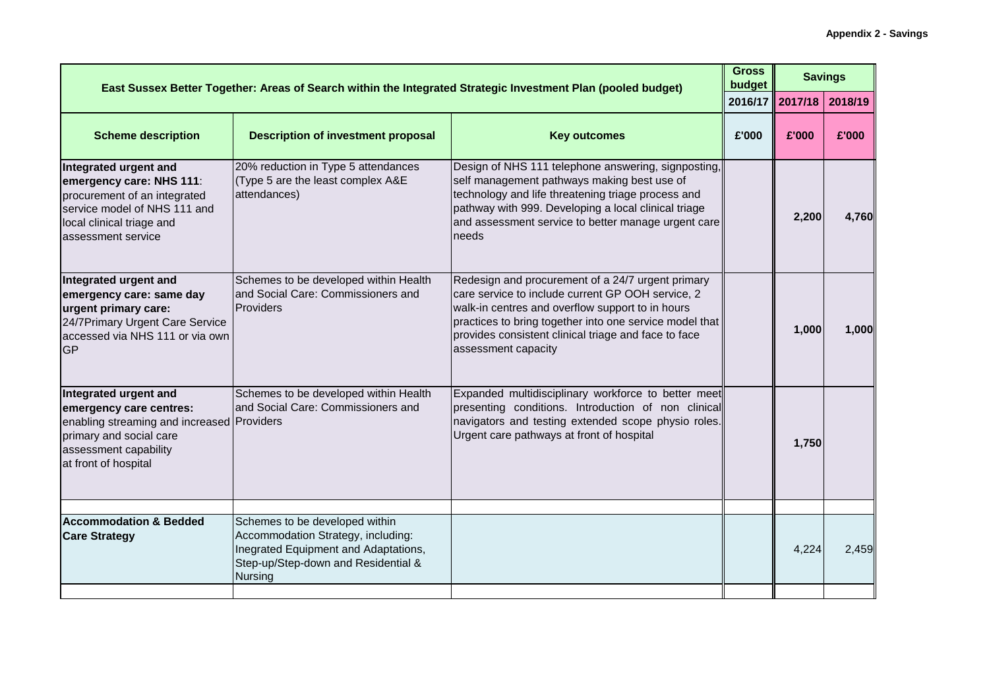| East Sussex Better Together: Areas of Search within the Integrated Strategic Investment Plan (pooled budget)                                                               |                                                                                                                                     |                                                                                                                                                                                                                                                                                                      |       | <b>Gross</b><br><b>Savings</b><br>budget |         |
|----------------------------------------------------------------------------------------------------------------------------------------------------------------------------|-------------------------------------------------------------------------------------------------------------------------------------|------------------------------------------------------------------------------------------------------------------------------------------------------------------------------------------------------------------------------------------------------------------------------------------------------|-------|------------------------------------------|---------|
|                                                                                                                                                                            |                                                                                                                                     |                                                                                                                                                                                                                                                                                                      |       | 2016/17   2017/18                        | 2018/19 |
| <b>Scheme description</b>                                                                                                                                                  | <b>Description of investment proposal</b>                                                                                           | <b>Key outcomes</b>                                                                                                                                                                                                                                                                                  | £'000 | £'000                                    | £'000   |
| Integrated urgent and<br>emergency care: NHS 111:<br>procurement of an integrated<br>service model of NHS 111 and<br>local clinical triage and<br>assessment service       | 20% reduction in Type 5 attendances<br>(Type 5 are the least complex A&E<br>attendances)                                            | Design of NHS 111 telephone answering, signposting,<br>self management pathways making best use of<br>technology and life threatening triage process and<br>pathway with 999. Developing a local clinical triage<br>and assessment service to better manage urgent care<br>needs                     |       | 2,200                                    | 4,760   |
| Integrated urgent and<br>emergency care: same day<br>urgent primary care:<br>24/7Primary Urgent Care Service<br>accessed via NHS 111 or via own<br><b>GP</b>               | Schemes to be developed within Health<br>and Social Care: Commissioners and<br>Providers                                            | Redesign and procurement of a 24/7 urgent primary<br>care service to include current GP OOH service, 2<br>walk-in centres and overflow support to in hours<br>practices to bring together into one service model that<br>provides consistent clinical triage and face to face<br>assessment capacity |       | 1,000                                    | 1,000   |
| Integrated urgent and<br>emergency care centres:<br>enabling streaming and increased Providers<br>primary and social care<br>assessment capability<br>at front of hospital | Schemes to be developed within Health<br>and Social Care: Commissioners and                                                         | Expanded multidisciplinary workforce to better meet<br>presenting conditions. Introduction of non clinical<br>navigators and testing extended scope physio roles.<br>Urgent care pathways at front of hospital                                                                                       |       | 1,750                                    |         |
| <b>Accommodation &amp; Bedded</b>                                                                                                                                          | Schemes to be developed within                                                                                                      |                                                                                                                                                                                                                                                                                                      |       |                                          |         |
| <b>Care Strategy</b>                                                                                                                                                       | Accommodation Strategy, including:<br>Inegrated Equipment and Adaptations,<br>Step-up/Step-down and Residential &<br><b>Nursing</b> |                                                                                                                                                                                                                                                                                                      |       | 4,224                                    | 2,459   |
|                                                                                                                                                                            |                                                                                                                                     |                                                                                                                                                                                                                                                                                                      |       |                                          |         |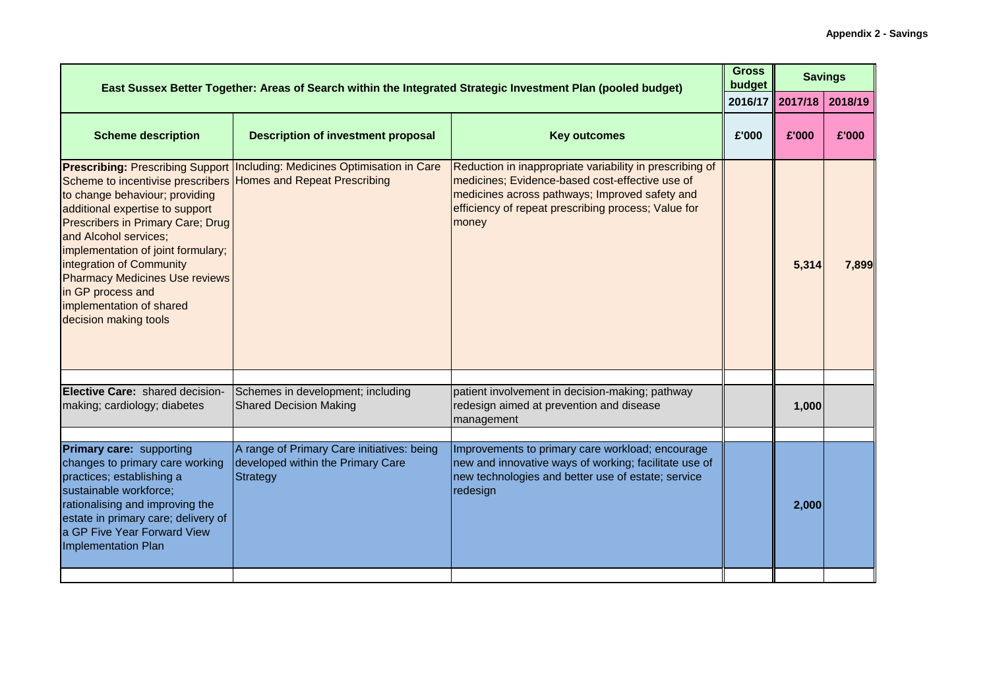| East Sussex Better Together: Areas of Search within the Integrated Strategic Investment Plan (pooled budget)                                                                                                                                                                                                                                                                                  |                                                                                             |                                                                                                                                                                                                                               |       | <b>Gross</b><br><b>Savings</b><br>budget |         |
|-----------------------------------------------------------------------------------------------------------------------------------------------------------------------------------------------------------------------------------------------------------------------------------------------------------------------------------------------------------------------------------------------|---------------------------------------------------------------------------------------------|-------------------------------------------------------------------------------------------------------------------------------------------------------------------------------------------------------------------------------|-------|------------------------------------------|---------|
|                                                                                                                                                                                                                                                                                                                                                                                               |                                                                                             |                                                                                                                                                                                                                               |       | 2016/17 2017/18                          | 2018/19 |
| <b>Scheme description</b>                                                                                                                                                                                                                                                                                                                                                                     | <b>Description of investment proposal</b>                                                   | <b>Key outcomes</b>                                                                                                                                                                                                           | £'000 | £'000                                    | £'000   |
| Scheme to incentivise prescribers Homes and Repeat Prescribing<br>to change behaviour; providing<br>additional expertise to support<br><b>Prescribers in Primary Care; Drug</b><br>and Alcohol services;<br>implementation of joint formulary;<br>integration of Community<br><b>Pharmacy Medicines Use reviews</b><br>in GP process and<br>implementation of shared<br>decision making tools | <b>Prescribing: Prescribing Support Including: Medicines Optimisation in Care</b>           | Reduction in inappropriate variability in prescribing of<br>medicines; Evidence-based cost-effective use of<br>medicines across pathways; Improved safety and<br>efficiency of repeat prescribing process; Value for<br>money |       | 5,314                                    | 7,899   |
|                                                                                                                                                                                                                                                                                                                                                                                               |                                                                                             |                                                                                                                                                                                                                               |       |                                          |         |
| Elective Care: shared decision-<br>making; cardiology; diabetes                                                                                                                                                                                                                                                                                                                               | Schemes in development; including<br><b>Shared Decision Making</b>                          | patient involvement in decision-making; pathway<br>redesign aimed at prevention and disease<br>management                                                                                                                     |       | 1,000                                    |         |
|                                                                                                                                                                                                                                                                                                                                                                                               |                                                                                             |                                                                                                                                                                                                                               |       |                                          |         |
| Primary care: supporting<br>changes to primary care working<br>practices; establishing a<br>sustainable workforce;<br>rationalising and improving the<br>estate in primary care; delivery of<br>a GP Five Year Forward View<br><b>Implementation Plan</b>                                                                                                                                     | A range of Primary Care initiatives: being<br>developed within the Primary Care<br>Strategy | Improvements to primary care workload; encourage<br>new and innovative ways of working; facilitate use of<br>new technologies and better use of estate; service<br>redesign                                                   |       | 2,000                                    |         |
|                                                                                                                                                                                                                                                                                                                                                                                               |                                                                                             |                                                                                                                                                                                                                               |       |                                          |         |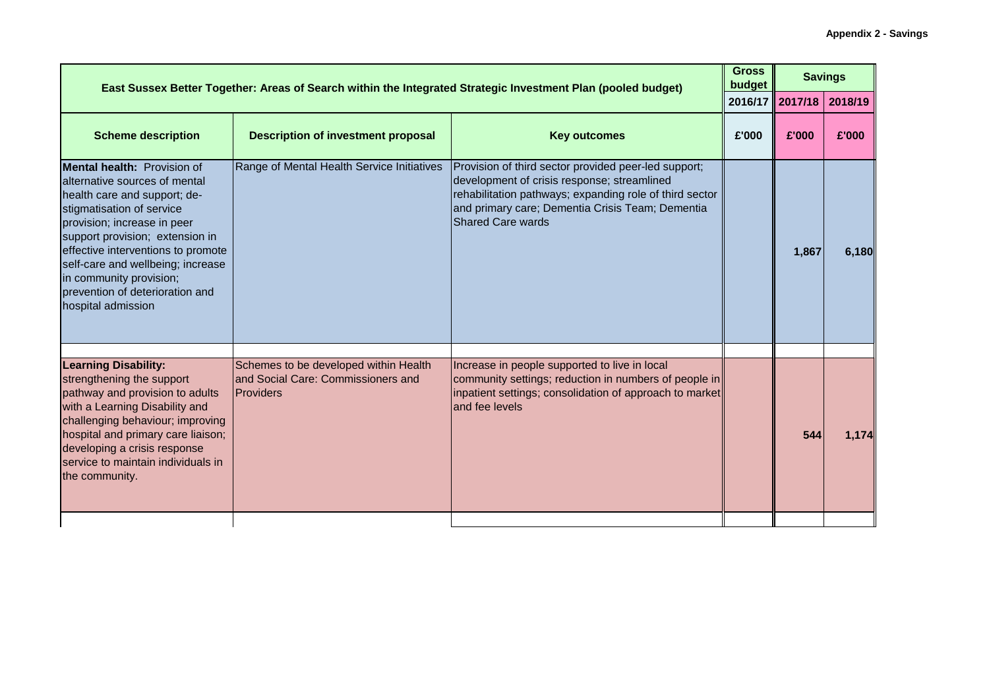| East Sussex Better Together: Areas of Search within the Integrated Strategic Investment Plan (pooled budget)                                                                                                                                                                                                                                                      |                                                                                                 |                                                                                                                                                                                                                                                |                           |       | <b>Savings</b> |
|-------------------------------------------------------------------------------------------------------------------------------------------------------------------------------------------------------------------------------------------------------------------------------------------------------------------------------------------------------------------|-------------------------------------------------------------------------------------------------|------------------------------------------------------------------------------------------------------------------------------------------------------------------------------------------------------------------------------------------------|---------------------------|-------|----------------|
|                                                                                                                                                                                                                                                                                                                                                                   |                                                                                                 |                                                                                                                                                                                                                                                | budget<br>2016/17 2017/18 |       | 2018/19        |
| <b>Scheme description</b>                                                                                                                                                                                                                                                                                                                                         | <b>Description of investment proposal</b>                                                       | <b>Key outcomes</b>                                                                                                                                                                                                                            | £'000                     | £'000 | £'000          |
| <b>Mental health: Provision of</b><br>alternative sources of mental<br>health care and support; de-<br>stigmatisation of service<br>provision; increase in peer<br>support provision; extension in<br>effective interventions to promote<br>self-care and wellbeing; increase<br>in community provision;<br>prevention of deterioration and<br>hospital admission | Range of Mental Health Service Initiatives                                                      | Provision of third sector provided peer-led support;<br>development of crisis response; streamlined<br>rehabilitation pathways; expanding role of third sector<br>and primary care; Dementia Crisis Team; Dementia<br><b>Shared Care wards</b> |                           | 1,867 | 6,180          |
| <b>Learning Disability:</b><br>strengthening the support<br>pathway and provision to adults<br>with a Learning Disability and<br>challenging behaviour; improving<br>hospital and primary care liaison;<br>developing a crisis response<br>service to maintain individuals in<br>the community.                                                                   | Schemes to be developed within Health<br>and Social Care: Commissioners and<br><b>Providers</b> | Increase in people supported to live in local<br>community settings; reduction in numbers of people in<br>inpatient settings; consolidation of approach to market<br>and fee levels                                                            |                           | 544   | 1.174          |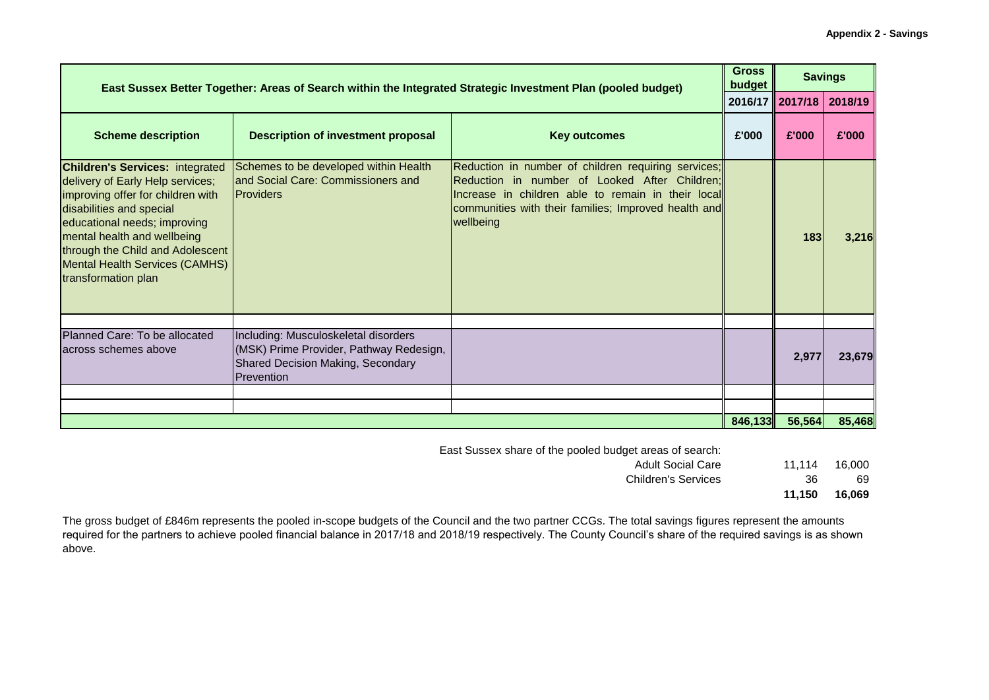| <b>Gross</b><br>budget<br>East Sussex Better Together: Areas of Search within the Integrated Strategic Investment Plan (pooled budget)                                                                                                                                                                         |                                                                                                                                    |                                                                                                                                                                                                                                 |         |                   | <b>Savings</b> |
|----------------------------------------------------------------------------------------------------------------------------------------------------------------------------------------------------------------------------------------------------------------------------------------------------------------|------------------------------------------------------------------------------------------------------------------------------------|---------------------------------------------------------------------------------------------------------------------------------------------------------------------------------------------------------------------------------|---------|-------------------|----------------|
|                                                                                                                                                                                                                                                                                                                |                                                                                                                                    |                                                                                                                                                                                                                                 |         | 2016/17   2017/18 | 2018/19        |
| <b>Scheme description</b>                                                                                                                                                                                                                                                                                      | <b>Description of investment proposal</b>                                                                                          | <b>Key outcomes</b>                                                                                                                                                                                                             | £'000   | £'000             | £'000          |
| <b>Children's Services: integrated</b><br>delivery of Early Help services;<br>improving offer for children with<br>disabilities and special<br>educational needs; improving<br>mental health and wellbeing<br>through the Child and Adolescent<br><b>Mental Health Services (CAMHS)</b><br>transformation plan | Schemes to be developed within Health<br>and Social Care: Commissioners and<br><b>Providers</b>                                    | Reduction in number of children requiring services;<br>Reduction in number of Looked After Children;<br>Increase in children able to remain in their local<br>communities with their families; Improved health and<br>wellbeing |         | 183               | <b>3.216</b>   |
|                                                                                                                                                                                                                                                                                                                |                                                                                                                                    |                                                                                                                                                                                                                                 |         |                   |                |
| Planned Care: To be allocated<br>across schemes above                                                                                                                                                                                                                                                          | Including: Musculoskeletal disorders<br>(MSK) Prime Provider, Pathway Redesign,<br>Shared Decision Making, Secondary<br>Prevention |                                                                                                                                                                                                                                 |         | 2,977             | 23,679         |
|                                                                                                                                                                                                                                                                                                                |                                                                                                                                    |                                                                                                                                                                                                                                 |         |                   |                |
|                                                                                                                                                                                                                                                                                                                |                                                                                                                                    |                                                                                                                                                                                                                                 | 846,133 | 56,564            | 85,468         |

East Sussex share of the pooled budget areas of search:

Adult Social Care 11,114 16,000

Children's Services 36 69

**11,150 16,069**

The gross budget of £846m represents the pooled in-scope budgets of the Council and the two partner CCGs. The total savings figures represent the amounts required for the partners to achieve pooled financial balance in 2017/18 and 2018/19 respectively. The County Council's share of the required savings is as shown above.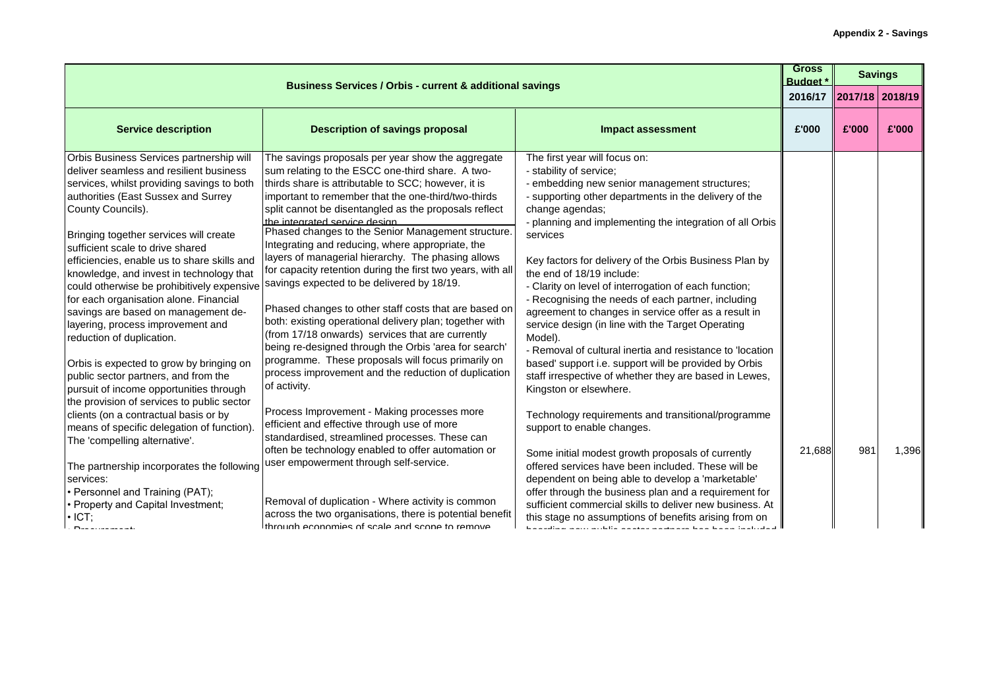| <b>Budget</b> *<br><b>Business Services / Orbis - current &amp; additional savings</b>                                                                                                                                                                                                                                                                                                                                                                                                                                                                                                                                                                                                                                                                                                                                                                                                                                                                                                                                           |                                                                                                                                                                                                                                                                                                                                                                                                                                                                                                                                                                                                                                                                                                                                                                                                                                                                                                                                                                                                                                                                                                                                                                                                                                                                                                                                                                              |                                                                                                                                                                                                                                                                                                                                                                                                                                                                                                                                                                                                                                                                                                                                                                                                                                                                                                                                                                                                                                                                                                                                                                                                                                         |         | <b>Savings</b>  |       |
|----------------------------------------------------------------------------------------------------------------------------------------------------------------------------------------------------------------------------------------------------------------------------------------------------------------------------------------------------------------------------------------------------------------------------------------------------------------------------------------------------------------------------------------------------------------------------------------------------------------------------------------------------------------------------------------------------------------------------------------------------------------------------------------------------------------------------------------------------------------------------------------------------------------------------------------------------------------------------------------------------------------------------------|------------------------------------------------------------------------------------------------------------------------------------------------------------------------------------------------------------------------------------------------------------------------------------------------------------------------------------------------------------------------------------------------------------------------------------------------------------------------------------------------------------------------------------------------------------------------------------------------------------------------------------------------------------------------------------------------------------------------------------------------------------------------------------------------------------------------------------------------------------------------------------------------------------------------------------------------------------------------------------------------------------------------------------------------------------------------------------------------------------------------------------------------------------------------------------------------------------------------------------------------------------------------------------------------------------------------------------------------------------------------------|-----------------------------------------------------------------------------------------------------------------------------------------------------------------------------------------------------------------------------------------------------------------------------------------------------------------------------------------------------------------------------------------------------------------------------------------------------------------------------------------------------------------------------------------------------------------------------------------------------------------------------------------------------------------------------------------------------------------------------------------------------------------------------------------------------------------------------------------------------------------------------------------------------------------------------------------------------------------------------------------------------------------------------------------------------------------------------------------------------------------------------------------------------------------------------------------------------------------------------------------|---------|-----------------|-------|
|                                                                                                                                                                                                                                                                                                                                                                                                                                                                                                                                                                                                                                                                                                                                                                                                                                                                                                                                                                                                                                  |                                                                                                                                                                                                                                                                                                                                                                                                                                                                                                                                                                                                                                                                                                                                                                                                                                                                                                                                                                                                                                                                                                                                                                                                                                                                                                                                                                              |                                                                                                                                                                                                                                                                                                                                                                                                                                                                                                                                                                                                                                                                                                                                                                                                                                                                                                                                                                                                                                                                                                                                                                                                                                         | 2016/17 | 2017/18 2018/19 |       |
| <b>Service description</b>                                                                                                                                                                                                                                                                                                                                                                                                                                                                                                                                                                                                                                                                                                                                                                                                                                                                                                                                                                                                       | <b>Description of savings proposal</b>                                                                                                                                                                                                                                                                                                                                                                                                                                                                                                                                                                                                                                                                                                                                                                                                                                                                                                                                                                                                                                                                                                                                                                                                                                                                                                                                       | <b>Impact assessment</b>                                                                                                                                                                                                                                                                                                                                                                                                                                                                                                                                                                                                                                                                                                                                                                                                                                                                                                                                                                                                                                                                                                                                                                                                                | £'000   | £'000           | £'000 |
| Orbis Business Services partnership will<br>deliver seamless and resilient business<br>services, whilst providing savings to both<br>authorities (East Sussex and Surrey<br>County Councils).<br>Bringing together services will create<br>sufficient scale to drive shared<br>efficiencies, enable us to share skills and<br>knowledge, and invest in technology that<br>could otherwise be prohibitively expensive<br>for each organisation alone. Financial<br>savings are based on management de-<br>layering, process improvement and<br>reduction of duplication.<br>Orbis is expected to grow by bringing on<br>public sector partners, and from the<br>pursuit of income opportunities through<br>the provision of services to public sector<br>clients (on a contractual basis or by<br>means of specific delegation of function).<br>The 'compelling alternative'.<br>The partnership incorporates the following<br>services:<br>• Personnel and Training (PAT);<br>• Property and Capital Investment;<br>$\cdot$ ICT; | The savings proposals per year show the aggregate<br>sum relating to the ESCC one-third share. A two-<br>thirds share is attributable to SCC; however, it is<br>important to remember that the one-third/two-thirds<br>split cannot be disentangled as the proposals reflect<br>the integrated service design<br>Phased changes to the Senior Management structure.<br>Integrating and reducing, where appropriate, the<br>layers of managerial hierarchy. The phasing allows<br>for capacity retention during the first two years, with all<br>savings expected to be delivered by 18/19.<br>Phased changes to other staff costs that are based on<br>both: existing operational delivery plan; together with<br>(from 17/18 onwards) services that are currently<br>being re-designed through the Orbis 'area for search'<br>programme. These proposals will focus primarily on<br>process improvement and the reduction of duplication<br>of activity.<br>Process Improvement - Making processes more<br>efficient and effective through use of more<br>standardised, streamlined processes. These can<br>often be technology enabled to offer automation or<br>user empowerment through self-service.<br>Removal of duplication - Where activity is common<br>across the two organisations, there is potential benefit<br>through economies of scale and scope to remove | The first year will focus on:<br>- stability of service;<br>- embedding new senior management structures;<br>- supporting other departments in the delivery of the<br>change agendas;<br>- planning and implementing the integration of all Orbis<br>services<br>Key factors for delivery of the Orbis Business Plan by<br>the end of 18/19 include:<br>- Clarity on level of interrogation of each function;<br>- Recognising the needs of each partner, including<br>agreement to changes in service offer as a result in<br>service design (in line with the Target Operating<br>Model).<br>- Removal of cultural inertia and resistance to 'location<br>based' support i.e. support will be provided by Orbis<br>staff irrespective of whether they are based in Lewes,<br>Kingston or elsewhere.<br>Technology requirements and transitional/programme<br>support to enable changes.<br>Some initial modest growth proposals of currently<br>offered services have been included. These will be<br>dependent on being able to develop a 'marketable'<br>offer through the business plan and a requirement for<br>sufficient commercial skills to deliver new business. At<br>this stage no assumptions of benefits arising from on | 21,688  | 981             | 1,396 |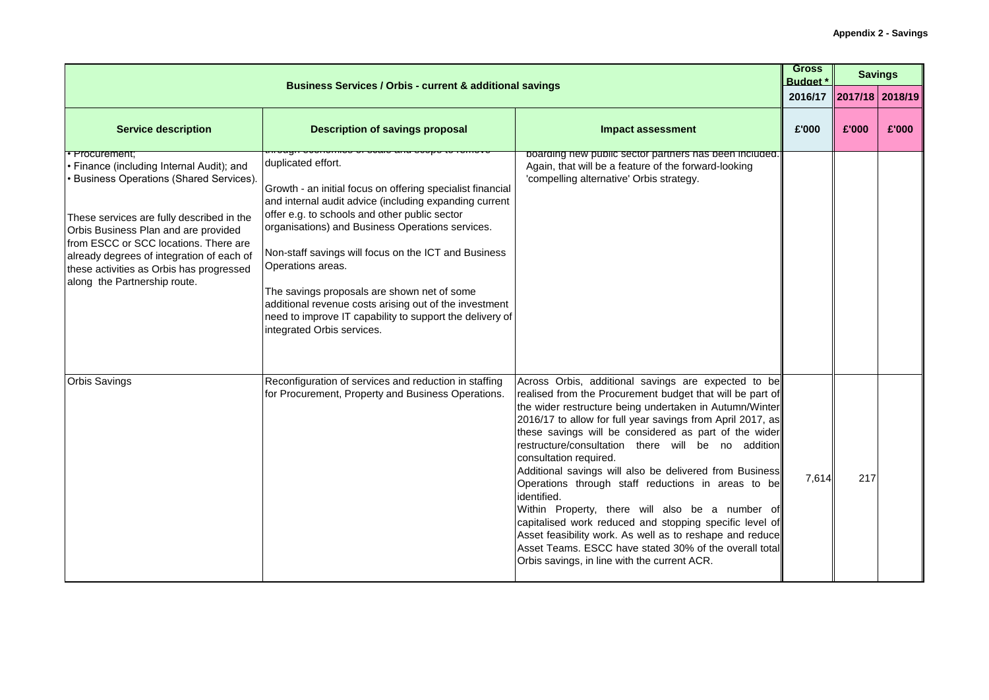| <b>Business Services / Orbis - current &amp; additional savings</b>                                                                                                                                                                                                                                                                                                          |                                                                                                                                                                                                                                                                                                                                                                                                                                                                                                                                 |                                                                                                                                                                                                                                                                                                                                                                                                                                                                                                                                                                                                                                                                                                                                                                                                        |       |                         | <b>Savings</b> |
|------------------------------------------------------------------------------------------------------------------------------------------------------------------------------------------------------------------------------------------------------------------------------------------------------------------------------------------------------------------------------|---------------------------------------------------------------------------------------------------------------------------------------------------------------------------------------------------------------------------------------------------------------------------------------------------------------------------------------------------------------------------------------------------------------------------------------------------------------------------------------------------------------------------------|--------------------------------------------------------------------------------------------------------------------------------------------------------------------------------------------------------------------------------------------------------------------------------------------------------------------------------------------------------------------------------------------------------------------------------------------------------------------------------------------------------------------------------------------------------------------------------------------------------------------------------------------------------------------------------------------------------------------------------------------------------------------------------------------------------|-------|-------------------------|----------------|
|                                                                                                                                                                                                                                                                                                                                                                              |                                                                                                                                                                                                                                                                                                                                                                                                                                                                                                                                 |                                                                                                                                                                                                                                                                                                                                                                                                                                                                                                                                                                                                                                                                                                                                                                                                        |       | 2016/17 2017/18 2018/19 |                |
| <b>Service description</b>                                                                                                                                                                                                                                                                                                                                                   | <b>Description of savings proposal</b>                                                                                                                                                                                                                                                                                                                                                                                                                                                                                          | <b>Impact assessment</b>                                                                                                                                                                                                                                                                                                                                                                                                                                                                                                                                                                                                                                                                                                                                                                               | £'000 | £'000                   | £'000          |
| <del>• Procurement:</del><br>Finance (including Internal Audit); and<br><b>Business Operations (Shared Services).</b><br>These services are fully described in the<br>Orbis Business Plan and are provided<br>from ESCC or SCC locations. There are<br>already degrees of integration of each of<br>these activities as Orbis has progressed<br>along the Partnership route. | duplicated effort.<br>Growth - an initial focus on offering specialist financial<br>and internal audit advice (including expanding current<br>offer e.g. to schools and other public sector<br>organisations) and Business Operations services.<br>Non-staff savings will focus on the ICT and Business<br>Operations areas.<br>The savings proposals are shown net of some<br>additional revenue costs arising out of the investment<br>need to improve IT capability to support the delivery of<br>integrated Orbis services. | boarding new public sector partners has been included.<br>Again, that will be a feature of the forward-looking<br>'compelling alternative' Orbis strategy.                                                                                                                                                                                                                                                                                                                                                                                                                                                                                                                                                                                                                                             |       |                         |                |
| <b>Orbis Savings</b>                                                                                                                                                                                                                                                                                                                                                         | Reconfiguration of services and reduction in staffing<br>for Procurement, Property and Business Operations.                                                                                                                                                                                                                                                                                                                                                                                                                     | Across Orbis, additional savings are expected to be<br>realised from the Procurement budget that will be part of<br>the wider restructure being undertaken in Autumn/Winter<br>2016/17 to allow for full year savings from April 2017, as<br>these savings will be considered as part of the wider<br>restructure/consultation there will be no addition<br>consultation required.<br>Additional savings will also be delivered from Business<br>Operations through staff reductions in areas to be<br>identified.<br>Within Property, there will also be a number of<br>capitalised work reduced and stopping specific level of<br>Asset feasibility work. As well as to reshape and reduce<br>Asset Teams. ESCC have stated 30% of the overall total<br>Orbis savings, in line with the current ACR. | 7,614 | 217                     |                |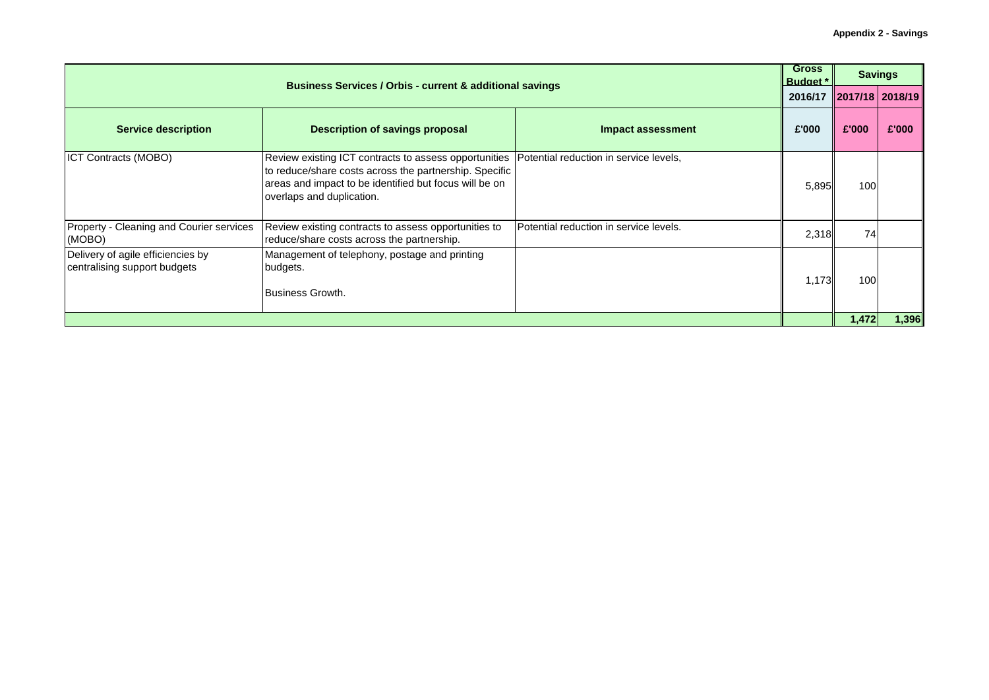|                                                                   | <b>Business Services / Orbis - current &amp; additional savings</b>                                                                                                                                                                            |                                        |                         |       |       |
|-------------------------------------------------------------------|------------------------------------------------------------------------------------------------------------------------------------------------------------------------------------------------------------------------------------------------|----------------------------------------|-------------------------|-------|-------|
|                                                                   |                                                                                                                                                                                                                                                |                                        | 2016/17 2017/18 2018/19 |       |       |
| <b>Service description</b>                                        | <b>Description of savings proposal</b>                                                                                                                                                                                                         | Impact assessment                      | £'000                   | £'000 | £'000 |
| <b>ICT Contracts (MOBO)</b>                                       | Review existing ICT contracts to assess opportunities  Potential reduction in service levels,<br>to reduce/share costs across the partnership. Specific<br>areas and impact to be identified but focus will be on<br>overlaps and duplication. |                                        | 5,895                   | 100   |       |
| Property - Cleaning and Courier services<br>(MOBO)                | Review existing contracts to assess opportunities to<br>reduce/share costs across the partnership.                                                                                                                                             | Potential reduction in service levels. | 2,318                   | 74    |       |
| Delivery of agile efficiencies by<br>centralising support budgets | Management of telephony, postage and printing<br>budgets.<br>Business Growth.                                                                                                                                                                  |                                        | 1,173                   | 100   |       |
|                                                                   |                                                                                                                                                                                                                                                |                                        |                         | 1,472 | 1,396 |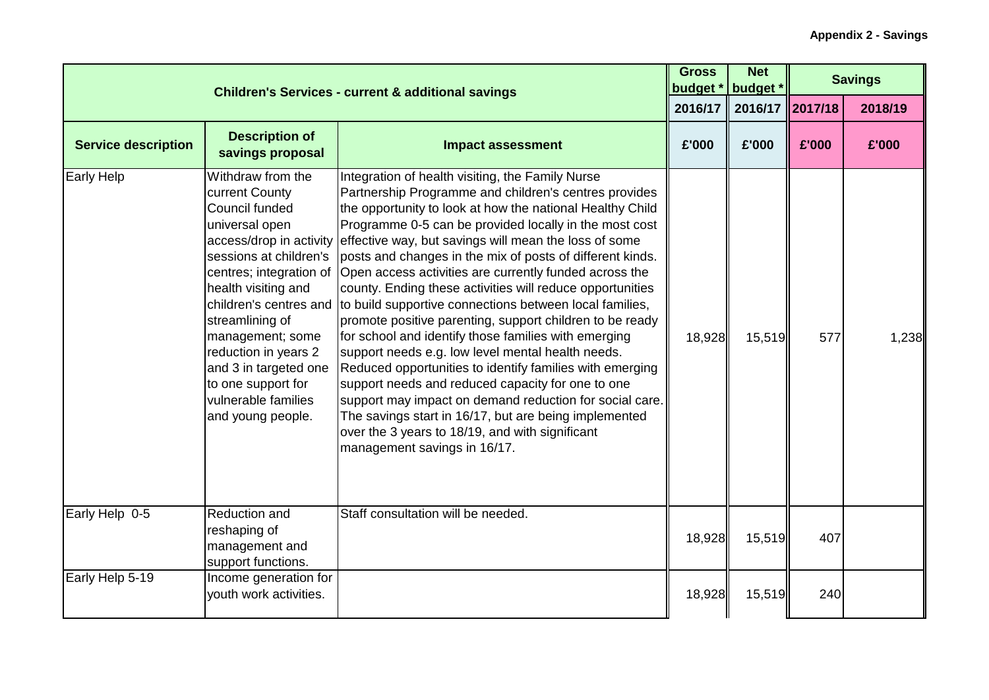|                            | <b>Children's Services - current &amp; additional savings</b>                                                                                                                                                                                                                                                                            |                                                                                                                                                                                                                                                                                                                                                                                                                                                                                                                                                                                                                                                                                                                                                                                                                                                                                                                                                                                                                                                                  | <b>Gross</b><br>budget * | <b>Net</b><br>budget * |       | <b>Savings</b> |
|----------------------------|------------------------------------------------------------------------------------------------------------------------------------------------------------------------------------------------------------------------------------------------------------------------------------------------------------------------------------------|------------------------------------------------------------------------------------------------------------------------------------------------------------------------------------------------------------------------------------------------------------------------------------------------------------------------------------------------------------------------------------------------------------------------------------------------------------------------------------------------------------------------------------------------------------------------------------------------------------------------------------------------------------------------------------------------------------------------------------------------------------------------------------------------------------------------------------------------------------------------------------------------------------------------------------------------------------------------------------------------------------------------------------------------------------------|--------------------------|------------------------|-------|----------------|
|                            |                                                                                                                                                                                                                                                                                                                                          |                                                                                                                                                                                                                                                                                                                                                                                                                                                                                                                                                                                                                                                                                                                                                                                                                                                                                                                                                                                                                                                                  | 2016/17                  | 2016/17 2017/18        |       | 2018/19        |
| <b>Service description</b> | <b>Description of</b><br>savings proposal                                                                                                                                                                                                                                                                                                | <b>Impact assessment</b>                                                                                                                                                                                                                                                                                                                                                                                                                                                                                                                                                                                                                                                                                                                                                                                                                                                                                                                                                                                                                                         | £'000                    | £'000                  | £'000 | £'000          |
| <b>Early Help</b>          | Withdraw from the<br>current County<br>Council funded<br>universal open<br>access/drop in activity<br>sessions at children's<br>centres; integration of<br>health visiting and<br>streamlining of<br>management; some<br>reduction in years 2<br>and 3 in targeted one<br>to one support for<br>vulnerable families<br>and young people. | Integration of health visiting, the Family Nurse<br>Partnership Programme and children's centres provides<br>the opportunity to look at how the national Healthy Child<br>Programme 0-5 can be provided locally in the most cost<br>effective way, but savings will mean the loss of some<br>posts and changes in the mix of posts of different kinds.<br>Open access activities are currently funded across the<br>county. Ending these activities will reduce opportunities<br>children's centres and to build supportive connections between local families,<br>promote positive parenting, support children to be ready<br>for school and identify those families with emerging<br>support needs e.g. low level mental health needs.<br>Reduced opportunities to identify families with emerging<br>support needs and reduced capacity for one to one<br>support may impact on demand reduction for social care.<br>The savings start in 16/17, but are being implemented<br>over the 3 years to 18/19, and with significant<br>management savings in 16/17. | 18,928                   | 15,519                 | 577   | 1,238          |
| Early Help 0-5             | Reduction and<br>reshaping of<br>management and<br>support functions.                                                                                                                                                                                                                                                                    | Staff consultation will be needed.                                                                                                                                                                                                                                                                                                                                                                                                                                                                                                                                                                                                                                                                                                                                                                                                                                                                                                                                                                                                                               | 18,928                   | 15,519                 | 407   |                |
| Early Help 5-19            | Income generation for<br>youth work activities.                                                                                                                                                                                                                                                                                          |                                                                                                                                                                                                                                                                                                                                                                                                                                                                                                                                                                                                                                                                                                                                                                                                                                                                                                                                                                                                                                                                  | 18,928                   | 15,519                 | 240   |                |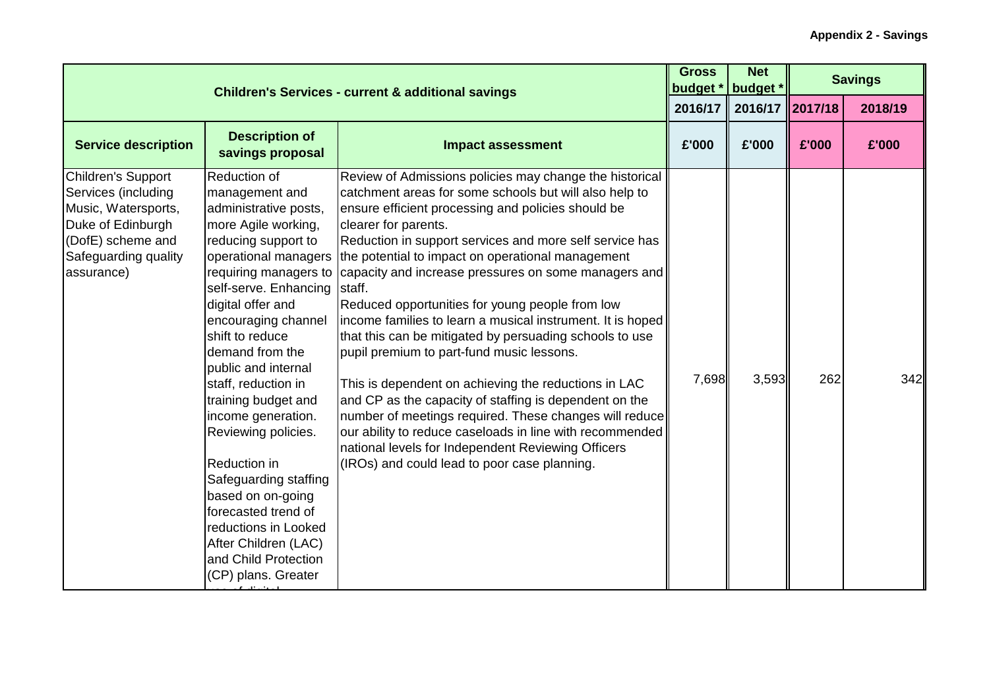|                                                                                                                                                  | <b>Children's Services - current &amp; additional savings</b>                                                                                                                                                                                                                                                                                                                                                                                                                                                                                  |                                                                                                                                                                                                                                                                                                                                                                                                                                                                                                                                                                                                                                                                                                                                                                                                                                                                                                                                                                                | <b>Gross</b><br>budget * | <b>Net</b><br>budget <sup>*</sup> |       | <b>Savings</b> |
|--------------------------------------------------------------------------------------------------------------------------------------------------|------------------------------------------------------------------------------------------------------------------------------------------------------------------------------------------------------------------------------------------------------------------------------------------------------------------------------------------------------------------------------------------------------------------------------------------------------------------------------------------------------------------------------------------------|--------------------------------------------------------------------------------------------------------------------------------------------------------------------------------------------------------------------------------------------------------------------------------------------------------------------------------------------------------------------------------------------------------------------------------------------------------------------------------------------------------------------------------------------------------------------------------------------------------------------------------------------------------------------------------------------------------------------------------------------------------------------------------------------------------------------------------------------------------------------------------------------------------------------------------------------------------------------------------|--------------------------|-----------------------------------|-------|----------------|
|                                                                                                                                                  |                                                                                                                                                                                                                                                                                                                                                                                                                                                                                                                                                |                                                                                                                                                                                                                                                                                                                                                                                                                                                                                                                                                                                                                                                                                                                                                                                                                                                                                                                                                                                | 2016/17                  | 2016/17 2017/18                   |       | 2018/19        |
| <b>Service description</b>                                                                                                                       | <b>Description of</b><br>savings proposal                                                                                                                                                                                                                                                                                                                                                                                                                                                                                                      | <b>Impact assessment</b>                                                                                                                                                                                                                                                                                                                                                                                                                                                                                                                                                                                                                                                                                                                                                                                                                                                                                                                                                       | £'000                    | £'000                             | £'000 | £'000          |
| Children's Support<br>Services (including<br>Music, Watersports,<br>Duke of Edinburgh<br>(DofE) scheme and<br>Safeguarding quality<br>assurance) | Reduction of<br>management and<br>administrative posts,<br>more Agile working,<br>reducing support to<br>operational managers<br>self-serve. Enhancing<br>digital offer and<br>encouraging channel<br>shift to reduce<br>demand from the<br>public and internal<br>staff, reduction in<br>training budget and<br>income generation.<br>Reviewing policies.<br>Reduction in<br>Safeguarding staffing<br>based on on-going<br>forecasted trend of<br>reductions in Looked<br>After Children (LAC)<br>and Child Protection<br>(CP) plans. Greater | Review of Admissions policies may change the historical<br>catchment areas for some schools but will also help to<br>ensure efficient processing and policies should be<br>clearer for parents.<br>Reduction in support services and more self service has<br>the potential to impact on operational management<br>requiring managers to capacity and increase pressures on some managers and<br>staff.<br>Reduced opportunities for young people from low<br>income families to learn a musical instrument. It is hoped<br>that this can be mitigated by persuading schools to use<br>pupil premium to part-fund music lessons.<br>This is dependent on achieving the reductions in LAC<br>and CP as the capacity of staffing is dependent on the<br>number of meetings required. These changes will reduce<br>our ability to reduce caseloads in line with recommended<br>national levels for Independent Reviewing Officers<br>(IROs) and could lead to poor case planning. | 7,698                    | 3,593                             | 262   | 342            |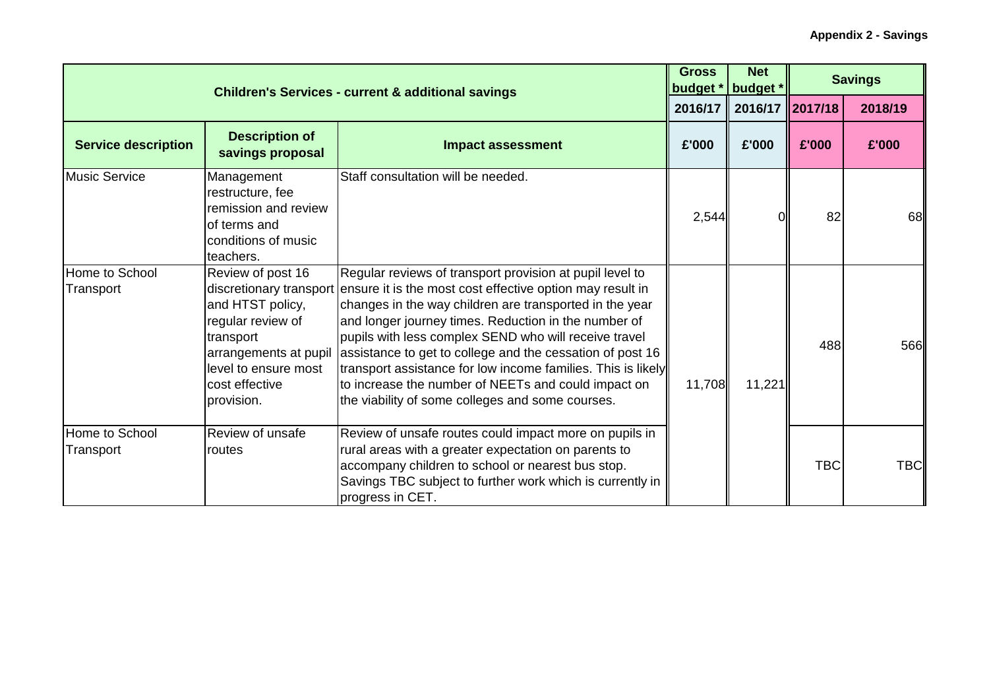|                             | <b>Children's Services - current &amp; additional savings</b>                                                                                            |                                                                                                                                                                                                                                                                                                                                                                                                                                                                                                                                                                   |         | <b>Net</b><br>budget *                  | <b>Savings</b> |            |
|-----------------------------|----------------------------------------------------------------------------------------------------------------------------------------------------------|-------------------------------------------------------------------------------------------------------------------------------------------------------------------------------------------------------------------------------------------------------------------------------------------------------------------------------------------------------------------------------------------------------------------------------------------------------------------------------------------------------------------------------------------------------------------|---------|-----------------------------------------|----------------|------------|
|                             |                                                                                                                                                          |                                                                                                                                                                                                                                                                                                                                                                                                                                                                                                                                                                   | 2016/17 | $\parallel$ 2016/17 $\parallel$ 2017/18 |                | 2018/19    |
| <b>Service description</b>  | <b>Description of</b><br>savings proposal                                                                                                                | <b>Impact assessment</b>                                                                                                                                                                                                                                                                                                                                                                                                                                                                                                                                          | £'000   | £'000                                   | £'000          | £'000      |
| <b>Music Service</b>        | Management<br>restructure, fee<br>remission and review<br>of terms and<br>conditions of music<br>teachers.                                               | Staff consultation will be needed.                                                                                                                                                                                                                                                                                                                                                                                                                                                                                                                                | 2,544   |                                         | 82             | 68         |
| Home to School<br>Transport | Review of post 16<br>and HTST policy,<br>regular review of<br>transport<br>arrangements at pupil<br>level to ensure most<br>cost effective<br>provision. | Regular reviews of transport provision at pupil level to<br>discretionary transport ensure it is the most cost effective option may result in<br>changes in the way children are transported in the year<br>and longer journey times. Reduction in the number of<br>pupils with less complex SEND who will receive travel<br>assistance to get to college and the cessation of post 16<br>transport assistance for low income families. This is likely<br>to increase the number of NEETs and could impact on<br>the viability of some colleges and some courses. | 11,708  | 11,221                                  | 488            | 566        |
| Home to School<br>Transport | Review of unsafe<br>routes                                                                                                                               | Review of unsafe routes could impact more on pupils in<br>rural areas with a greater expectation on parents to<br>accompany children to school or nearest bus stop.<br>Savings TBC subject to further work which is currently in<br>progress in CET.                                                                                                                                                                                                                                                                                                              |         |                                         | <b>TBC</b>     | <b>TBC</b> |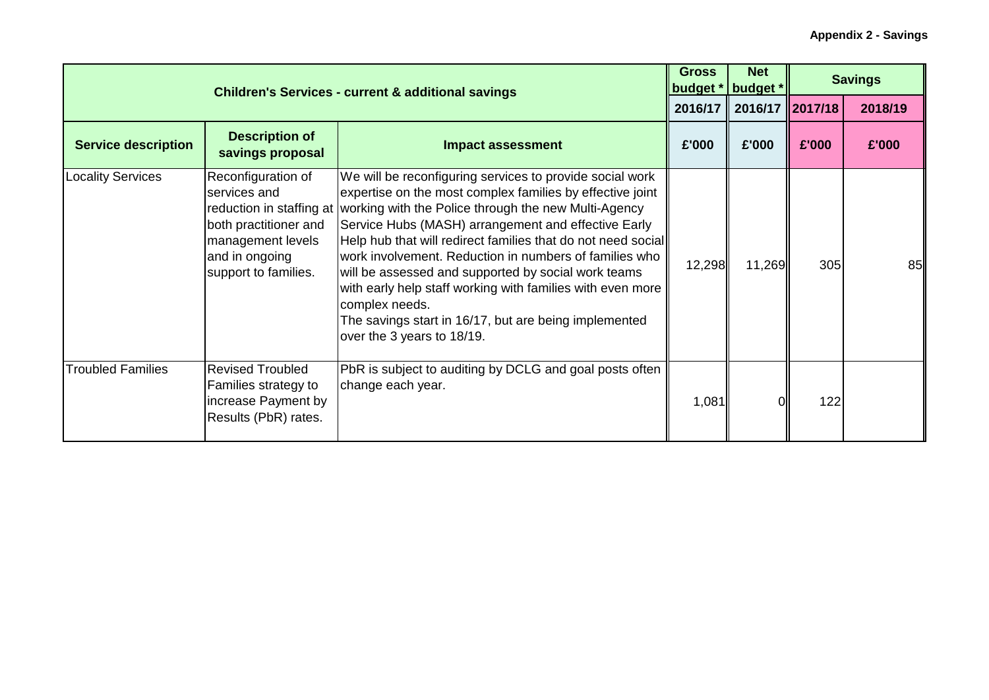|                            | <b>Children's Services - current &amp; additional savings</b>                                                              |                                                                                                                                                                                                                                                                                                                                                                                                                                                                                                                                                                                                                       |         |                 |       | <b>Savings</b> |
|----------------------------|----------------------------------------------------------------------------------------------------------------------------|-----------------------------------------------------------------------------------------------------------------------------------------------------------------------------------------------------------------------------------------------------------------------------------------------------------------------------------------------------------------------------------------------------------------------------------------------------------------------------------------------------------------------------------------------------------------------------------------------------------------------|---------|-----------------|-------|----------------|
|                            |                                                                                                                            |                                                                                                                                                                                                                                                                                                                                                                                                                                                                                                                                                                                                                       | 2016/17 | 2016/17 2017/18 |       | 2018/19        |
| <b>Service description</b> | <b>Description of</b><br>savings proposal                                                                                  | <b>Impact assessment</b>                                                                                                                                                                                                                                                                                                                                                                                                                                                                                                                                                                                              | £'000   | £'000           | £'000 | £'000          |
| <b>Locality Services</b>   | Reconfiguration of<br>services and<br>both practitioner and<br>management levels<br>and in ongoing<br>support to families. | We will be reconfiguring services to provide social work<br>expertise on the most complex families by effective joint<br>reduction in staffing at working with the Police through the new Multi-Agency<br>Service Hubs (MASH) arrangement and effective Early<br>Help hub that will redirect families that do not need social<br>work involvement. Reduction in numbers of families who<br>will be assessed and supported by social work teams<br>with early help staff working with families with even more<br>complex needs.<br>The savings start in 16/17, but are being implemented<br>over the 3 years to 18/19. | 12,298  | 11,269          | 305   | 85             |
| <b>Troubled Families</b>   | <b>Revised Troubled</b><br>Families strategy to<br>increase Payment by<br>Results (PbR) rates.                             | PbR is subject to auditing by DCLG and goal posts often<br>change each year.                                                                                                                                                                                                                                                                                                                                                                                                                                                                                                                                          | 1,081   |                 | 122   |                |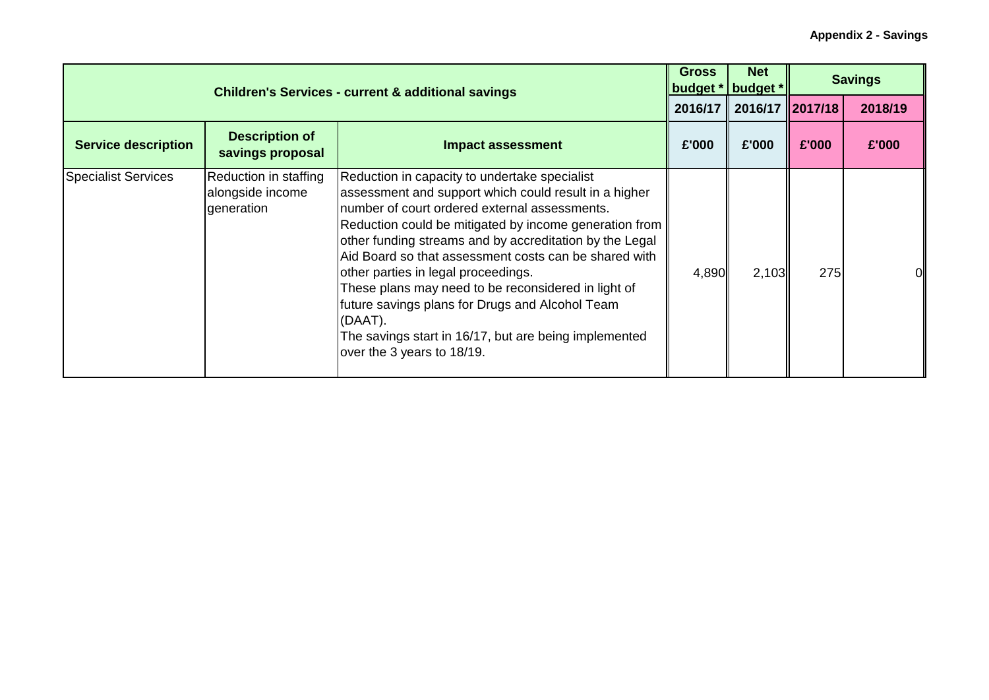|                            | <b>Children's Services - current &amp; additional savings</b> |                                                                                                                                                                                                                                                                                                                                                                                                                                                                                                                                                                                          |       |                         |       | <b>Savings</b> |
|----------------------------|---------------------------------------------------------------|------------------------------------------------------------------------------------------------------------------------------------------------------------------------------------------------------------------------------------------------------------------------------------------------------------------------------------------------------------------------------------------------------------------------------------------------------------------------------------------------------------------------------------------------------------------------------------------|-------|-------------------------|-------|----------------|
|                            |                                                               |                                                                                                                                                                                                                                                                                                                                                                                                                                                                                                                                                                                          |       | 2016/17 2016/17 2017/18 |       | 2018/19        |
| <b>Service description</b> | <b>Description of</b><br>savings proposal                     | <b>Impact assessment</b>                                                                                                                                                                                                                                                                                                                                                                                                                                                                                                                                                                 | £'000 | £'000                   | £'000 | £'000          |
| <b>Specialist Services</b> | Reduction in staffing<br>alongside income<br>generation       | Reduction in capacity to undertake specialist<br>assessment and support which could result in a higher<br>number of court ordered external assessments.<br>Reduction could be mitigated by income generation from<br>other funding streams and by accreditation by the Legal<br>Aid Board so that assessment costs can be shared with<br>other parties in legal proceedings.<br>These plans may need to be reconsidered in light of<br>future savings plans for Drugs and Alcohol Team<br>(DAAT).<br>The savings start in 16/17, but are being implemented<br>over the 3 years to 18/19. | 4,890 | 2,103                   | 275   | ΩI             |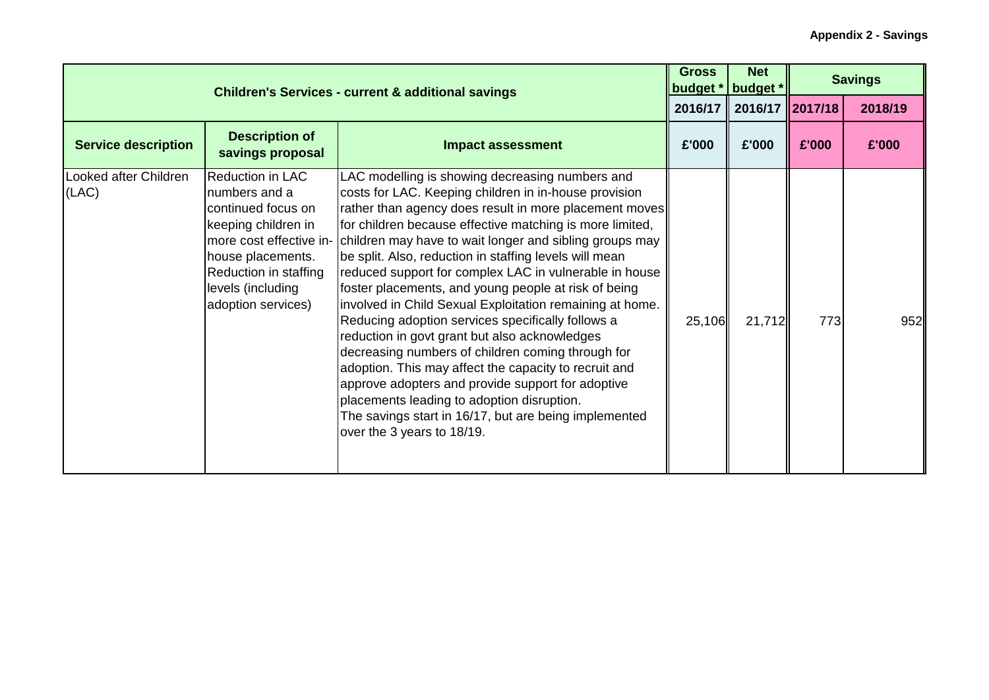|                                | <b>Children's Services - current &amp; additional savings</b>                                                                                                           |                                                                                                                                                                                                                                                                                                                                                                                                                                                                                                                                                                                                                                                                                                                                                                                                                                                                                                                                                                         |        | <b>Net</b><br>budget *<br>budget * |       | <b>Savings</b> |
|--------------------------------|-------------------------------------------------------------------------------------------------------------------------------------------------------------------------|-------------------------------------------------------------------------------------------------------------------------------------------------------------------------------------------------------------------------------------------------------------------------------------------------------------------------------------------------------------------------------------------------------------------------------------------------------------------------------------------------------------------------------------------------------------------------------------------------------------------------------------------------------------------------------------------------------------------------------------------------------------------------------------------------------------------------------------------------------------------------------------------------------------------------------------------------------------------------|--------|------------------------------------|-------|----------------|
|                                |                                                                                                                                                                         |                                                                                                                                                                                                                                                                                                                                                                                                                                                                                                                                                                                                                                                                                                                                                                                                                                                                                                                                                                         |        | $\  2016/17 \  2017/18$            |       | 2018/19        |
| <b>Service description</b>     | <b>Description of</b><br>savings proposal                                                                                                                               | <b>Impact assessment</b>                                                                                                                                                                                                                                                                                                                                                                                                                                                                                                                                                                                                                                                                                                                                                                                                                                                                                                                                                | £'000  | £'000                              | £'000 | £'000          |
| Looked after Children<br>(LAC) | Reduction in LAC<br>numbers and a<br>continued focus on<br>keeping children in<br>house placements.<br>Reduction in staffing<br>levels (including<br>adoption services) | LAC modelling is showing decreasing numbers and<br>costs for LAC. Keeping children in in-house provision<br>rather than agency does result in more placement moves<br>for children because effective matching is more limited,<br>more cost effective in- children may have to wait longer and sibling groups may<br>be split. Also, reduction in staffing levels will mean<br>reduced support for complex LAC in vulnerable in house<br>foster placements, and young people at risk of being<br>involved in Child Sexual Exploitation remaining at home.<br>Reducing adoption services specifically follows a<br>reduction in govt grant but also acknowledges<br>decreasing numbers of children coming through for<br>adoption. This may affect the capacity to recruit and<br>approve adopters and provide support for adoptive<br>placements leading to adoption disruption.<br>The savings start in 16/17, but are being implemented<br>over the 3 years to 18/19. | 25,106 | 21,712                             | 773   | 952            |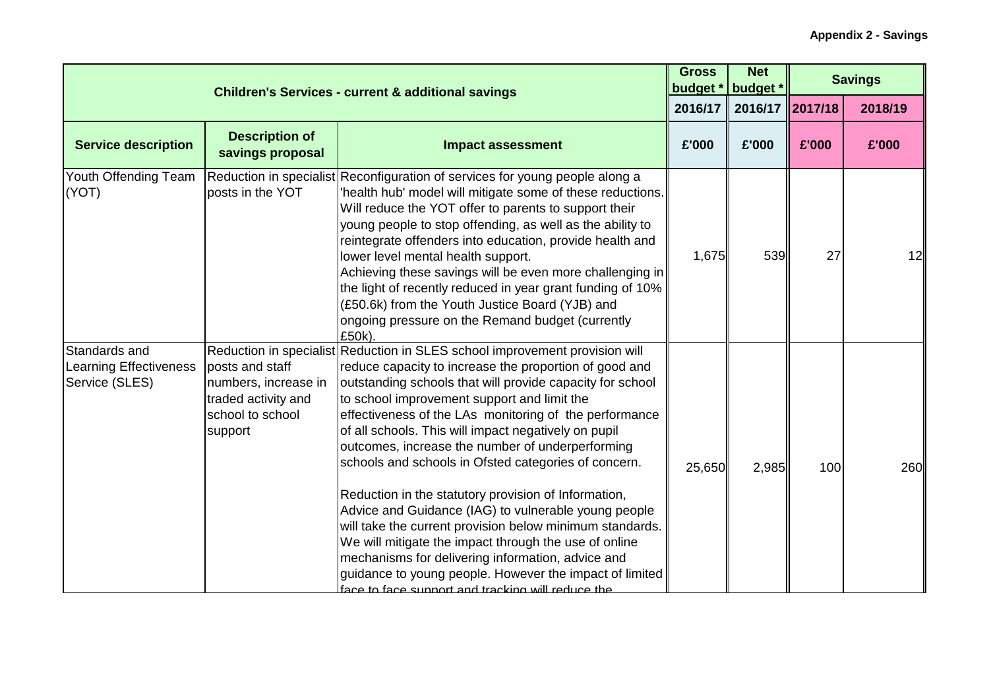|                                                           |                                                                                               | <b>Gross</b><br>budget *<br><b>Children's Services - current &amp; additional savings</b>                                                                                                                                                                                                                                                                                                                                                                                                                                                                                                                                                                                                                                                                                                                                                                                                 |         | <b>Net</b><br>budget * |       | <b>Savings</b> |
|-----------------------------------------------------------|-----------------------------------------------------------------------------------------------|-------------------------------------------------------------------------------------------------------------------------------------------------------------------------------------------------------------------------------------------------------------------------------------------------------------------------------------------------------------------------------------------------------------------------------------------------------------------------------------------------------------------------------------------------------------------------------------------------------------------------------------------------------------------------------------------------------------------------------------------------------------------------------------------------------------------------------------------------------------------------------------------|---------|------------------------|-------|----------------|
|                                                           |                                                                                               |                                                                                                                                                                                                                                                                                                                                                                                                                                                                                                                                                                                                                                                                                                                                                                                                                                                                                           | 2016/17 | 2016/17 2017/18        |       | 2018/19        |
| <b>Service description</b>                                | <b>Description of</b><br>savings proposal                                                     | <b>Impact assessment</b>                                                                                                                                                                                                                                                                                                                                                                                                                                                                                                                                                                                                                                                                                                                                                                                                                                                                  | £'000   | £'000                  | £'000 | £'000          |
| Youth Offending Team<br>(YOT)                             | posts in the YOT                                                                              | Reduction in specialist Reconfiguration of services for young people along a<br>'health hub' model will mitigate some of these reductions.<br>Will reduce the YOT offer to parents to support their<br>young people to stop offending, as well as the ability to<br>reintegrate offenders into education, provide health and<br>lower level mental health support.<br>Achieving these savings will be even more challenging in<br>the light of recently reduced in year grant funding of 10%<br>(£50.6k) from the Youth Justice Board (YJB) and<br>ongoing pressure on the Remand budget (currently<br>£50k)                                                                                                                                                                                                                                                                              | 1,675   | 539                    | 27    | 12             |
| Standards and<br>Learning Effectiveness<br>Service (SLES) | posts and staff<br>numbers, increase in<br>traded activity and<br>school to school<br>support | Reduction in specialist Reduction in SLES school improvement provision will<br>reduce capacity to increase the proportion of good and<br>outstanding schools that will provide capacity for school<br>to school improvement support and limit the<br>effectiveness of the LAs monitoring of the performance<br>of all schools. This will impact negatively on pupil<br>outcomes, increase the number of underperforming<br>schools and schools in Ofsted categories of concern.<br>Reduction in the statutory provision of Information,<br>Advice and Guidance (IAG) to vulnerable young people<br>will take the current provision below minimum standards.<br>We will mitigate the impact through the use of online<br>mechanisms for delivering information, advice and<br>guidance to young people. However the impact of limited<br>face to face support and tracking will reduce the | 25,650  | 2,985                  | 100   | 260            |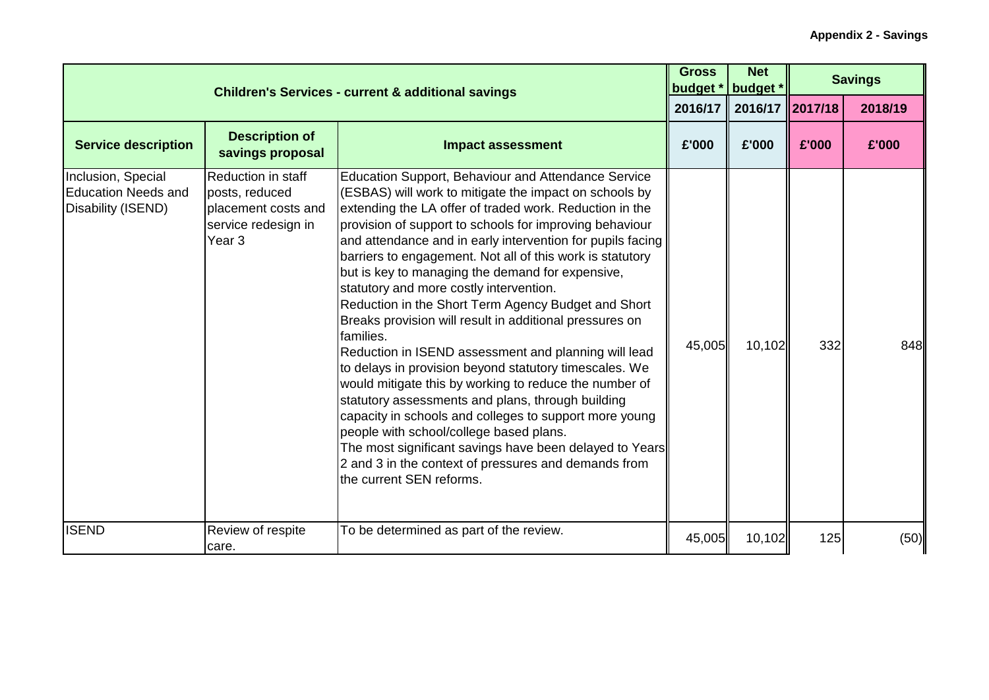|                                                                        | <b>Children's Services - current &amp; additional savings</b>                                                  |                                                                                                                                                                                                                                                                                                                                                                                                                                                                                                                                                                                                                                                                                                                                                                                                                                                                                                                                                                                                                                                                                          |         |                 |       | <b>Savings</b> |
|------------------------------------------------------------------------|----------------------------------------------------------------------------------------------------------------|------------------------------------------------------------------------------------------------------------------------------------------------------------------------------------------------------------------------------------------------------------------------------------------------------------------------------------------------------------------------------------------------------------------------------------------------------------------------------------------------------------------------------------------------------------------------------------------------------------------------------------------------------------------------------------------------------------------------------------------------------------------------------------------------------------------------------------------------------------------------------------------------------------------------------------------------------------------------------------------------------------------------------------------------------------------------------------------|---------|-----------------|-------|----------------|
|                                                                        |                                                                                                                |                                                                                                                                                                                                                                                                                                                                                                                                                                                                                                                                                                                                                                                                                                                                                                                                                                                                                                                                                                                                                                                                                          | 2016/17 | 2016/17 2017/18 |       | 2018/19        |
| <b>Service description</b>                                             | <b>Description of</b><br>savings proposal                                                                      | <b>Impact assessment</b>                                                                                                                                                                                                                                                                                                                                                                                                                                                                                                                                                                                                                                                                                                                                                                                                                                                                                                                                                                                                                                                                 | £'000   | £'000           | £'000 | £'000          |
| Inclusion, Special<br><b>Education Needs and</b><br>Disability (ISEND) | <b>Reduction in staff</b><br>posts, reduced<br>placement costs and<br>service redesign in<br>Year <sub>3</sub> | <b>Education Support, Behaviour and Attendance Service</b><br>(ESBAS) will work to mitigate the impact on schools by<br>extending the LA offer of traded work. Reduction in the<br>provision of support to schools for improving behaviour<br>and attendance and in early intervention for pupils facing<br>barriers to engagement. Not all of this work is statutory<br>but is key to managing the demand for expensive,<br>statutory and more costly intervention.<br>Reduction in the Short Term Agency Budget and Short<br>Breaks provision will result in additional pressures on<br>families.<br>Reduction in ISEND assessment and planning will lead<br>to delays in provision beyond statutory timescales. We<br>would mitigate this by working to reduce the number of<br>statutory assessments and plans, through building<br>capacity in schools and colleges to support more young<br>people with school/college based plans.<br>The most significant savings have been delayed to Years<br>2 and 3 in the context of pressures and demands from<br>the current SEN reforms. | 45,005  | 10,102          | 332   | 848            |
| <b>ISEND</b>                                                           | Review of respite<br>care.                                                                                     | To be determined as part of the review.                                                                                                                                                                                                                                                                                                                                                                                                                                                                                                                                                                                                                                                                                                                                                                                                                                                                                                                                                                                                                                                  | 45,005  | 10,102          | 125   | (50)           |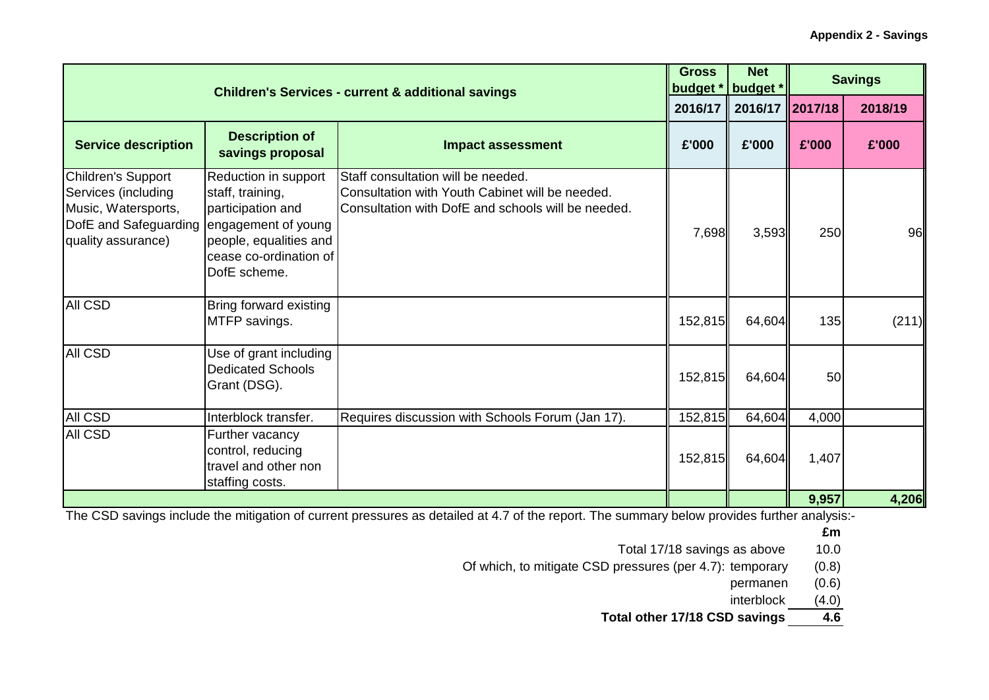|                                                                                                                 |                                                                                                                                                          | <b>Children's Services - current &amp; additional savings</b>                                                                               | <b>Gross</b><br>budget * | <b>Net</b><br>budget * |       | <b>Savings</b> |
|-----------------------------------------------------------------------------------------------------------------|----------------------------------------------------------------------------------------------------------------------------------------------------------|---------------------------------------------------------------------------------------------------------------------------------------------|--------------------------|------------------------|-------|----------------|
|                                                                                                                 |                                                                                                                                                          |                                                                                                                                             | 2016/17                  | 2016/17 2017/18        |       | 2018/19        |
| <b>Service description</b>                                                                                      | <b>Description of</b><br>savings proposal                                                                                                                | <b>Impact assessment</b>                                                                                                                    | £'000                    | £'000                  | £'000 | £'000          |
| Children's Support<br>Services (including<br>Music, Watersports,<br>DofE and Safeguarding<br>quality assurance) | Reduction in support<br>staff, training,<br>participation and<br>engagement of young<br>people, equalities and<br>cease co-ordination of<br>DofE scheme. | Staff consultation will be needed.<br>Consultation with Youth Cabinet will be needed.<br>Consultation with DofE and schools will be needed. | 7,698                    | 3,593                  | 250   | 96             |
| <b>AII CSD</b>                                                                                                  | Bring forward existing<br>MTFP savings.                                                                                                                  |                                                                                                                                             | 152,815                  | 64,604                 | 135   | (211)          |
| <b>AII CSD</b>                                                                                                  | Use of grant including<br><b>Dedicated Schools</b><br>Grant (DSG).                                                                                       |                                                                                                                                             | 152,815                  | 64,604                 | 50    |                |
| All CSD                                                                                                         | Interblock transfer.                                                                                                                                     | Requires discussion with Schools Forum (Jan 17).                                                                                            | 152,815                  | 64,604                 | 4,000 |                |
| All CSD                                                                                                         | Further vacancy<br>control, reducing<br>travel and other non<br>staffing costs.                                                                          |                                                                                                                                             | 152,815                  | 64,604                 | 1,407 |                |
|                                                                                                                 |                                                                                                                                                          |                                                                                                                                             |                          |                        | 9,957 | 4,206          |

The CSD savings include the mitigation of current pressures as detailed at 4.7 of the report. The summary below provides further analysis:-

**£m**

Total 17/18 savings as above 10.0

Of which, to mitigate CSD pressures (per 4.7): temporary (0.8)

permanen (0.6)

interblock (4.0)

**Total other 17/18 CSD savings 4.6**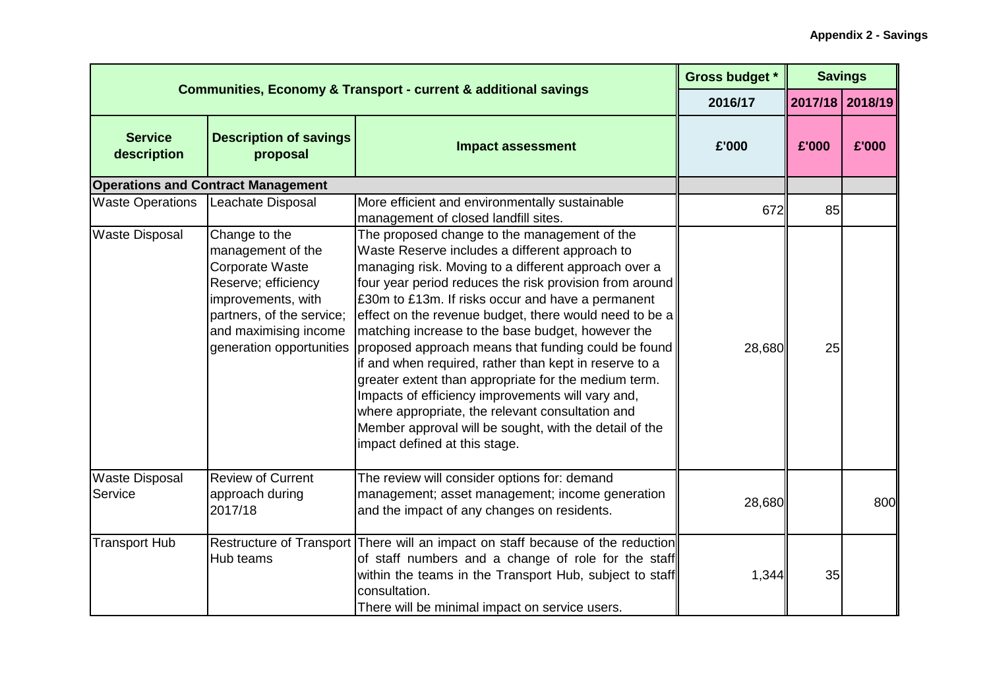|                                  | <b>Communities, Economy &amp; Transport - current &amp; additional savings</b>                                                                                                       |                                                                                                                                                                                                                                                                                                                                                                                                                                                                                                                                                                                                                                                                                                                                                                    | <b>Gross budget *</b> |       | <b>Savings</b>  |
|----------------------------------|--------------------------------------------------------------------------------------------------------------------------------------------------------------------------------------|--------------------------------------------------------------------------------------------------------------------------------------------------------------------------------------------------------------------------------------------------------------------------------------------------------------------------------------------------------------------------------------------------------------------------------------------------------------------------------------------------------------------------------------------------------------------------------------------------------------------------------------------------------------------------------------------------------------------------------------------------------------------|-----------------------|-------|-----------------|
|                                  |                                                                                                                                                                                      |                                                                                                                                                                                                                                                                                                                                                                                                                                                                                                                                                                                                                                                                                                                                                                    | 2016/17               |       | 2017/18 2018/19 |
| <b>Service</b><br>description    | <b>Description of savings</b><br>proposal                                                                                                                                            | <b>Impact assessment</b>                                                                                                                                                                                                                                                                                                                                                                                                                                                                                                                                                                                                                                                                                                                                           | £'000                 | £'000 | £'000           |
|                                  | <b>Operations and Contract Management</b>                                                                                                                                            |                                                                                                                                                                                                                                                                                                                                                                                                                                                                                                                                                                                                                                                                                                                                                                    |                       |       |                 |
| <b>Waste Operations</b>          | Leachate Disposal                                                                                                                                                                    | More efficient and environmentally sustainable<br>management of closed landfill sites.                                                                                                                                                                                                                                                                                                                                                                                                                                                                                                                                                                                                                                                                             | 672                   | 85    |                 |
| <b>Waste Disposal</b>            | Change to the<br>management of the<br>Corporate Waste<br>Reserve; efficiency<br>improvements, with<br>partners, of the service;<br>and maximising income<br>generation opportunities | The proposed change to the management of the<br>Waste Reserve includes a different approach to<br>managing risk. Moving to a different approach over a<br>four year period reduces the risk provision from around<br>£30m to £13m. If risks occur and have a permanent<br>effect on the revenue budget, there would need to be a<br>matching increase to the base budget, however the<br>proposed approach means that funding could be found<br>if and when required, rather than kept in reserve to a<br>greater extent than appropriate for the medium term.<br>Impacts of efficiency improvements will vary and,<br>where appropriate, the relevant consultation and<br>Member approval will be sought, with the detail of the<br>impact defined at this stage. | 28,680                | 25    |                 |
| <b>Waste Disposal</b><br>Service | <b>Review of Current</b><br>approach during<br>2017/18                                                                                                                               | The review will consider options for: demand<br>management; asset management; income generation<br>and the impact of any changes on residents.                                                                                                                                                                                                                                                                                                                                                                                                                                                                                                                                                                                                                     | 28,680                |       | 800             |
| <b>Transport Hub</b>             | <b>Restructure of Transport</b><br>Hub teams                                                                                                                                         | There will an impact on staff because of the reduction<br>of staff numbers and a change of role for the staff<br>within the teams in the Transport Hub, subject to staff<br>consultation.<br>There will be minimal impact on service users.                                                                                                                                                                                                                                                                                                                                                                                                                                                                                                                        | 1,344                 | 35    |                 |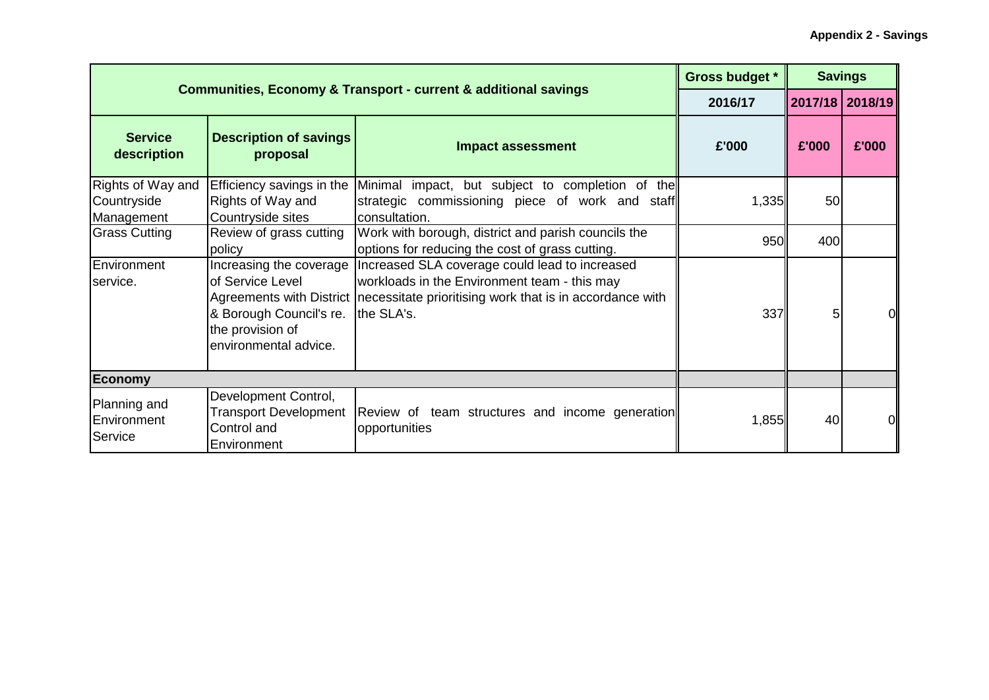|                                                |                                                                                                     | <b>Communities, Economy &amp; Transport - current &amp; additional savings</b>                                                                                                                                  | Gross budget * |                 | <b>Savings</b>  |
|------------------------------------------------|-----------------------------------------------------------------------------------------------------|-----------------------------------------------------------------------------------------------------------------------------------------------------------------------------------------------------------------|----------------|-----------------|-----------------|
|                                                |                                                                                                     |                                                                                                                                                                                                                 | 2016/17        |                 | 2017/18 2018/19 |
| <b>Service</b><br>description                  | <b>Description of savings</b><br>proposal                                                           | <b>Impact assessment</b>                                                                                                                                                                                        | £'000          | £'000           | £'000           |
| Rights of Way and<br>Countryside<br>Management | Rights of Way and<br>Countryside sites                                                              | Efficiency savings in the Minimal impact, but subject to completion of the<br>strategic commissioning piece of work and staff<br>consultation.                                                                  | 1,335          | 50 <sub>l</sub> |                 |
| <b>Grass Cutting</b>                           | Review of grass cutting<br>policy                                                                   | Work with borough, district and parish councils the<br>options for reducing the cost of grass cutting.                                                                                                          | 950            | 400             |                 |
| Environment<br>service.                        | of Service Level<br>& Borough Council's re. the SLA's.<br>the provision of<br>environmental advice. | Increasing the coverage   Increased SLA coverage could lead to increased<br>workloads in the Environment team - this may<br>Agreements with District   necessitate prioritising work that is in accordance with | 337            | 5               |                 |
| <b>Economy</b>                                 |                                                                                                     |                                                                                                                                                                                                                 |                |                 |                 |
| Planning and<br>Environment<br>Service         | Development Control,<br><b>Transport Development</b><br>Control and<br>Environment                  | Review of team structures and income generation<br>opportunities                                                                                                                                                | 1,855          | 40              | ΩI              |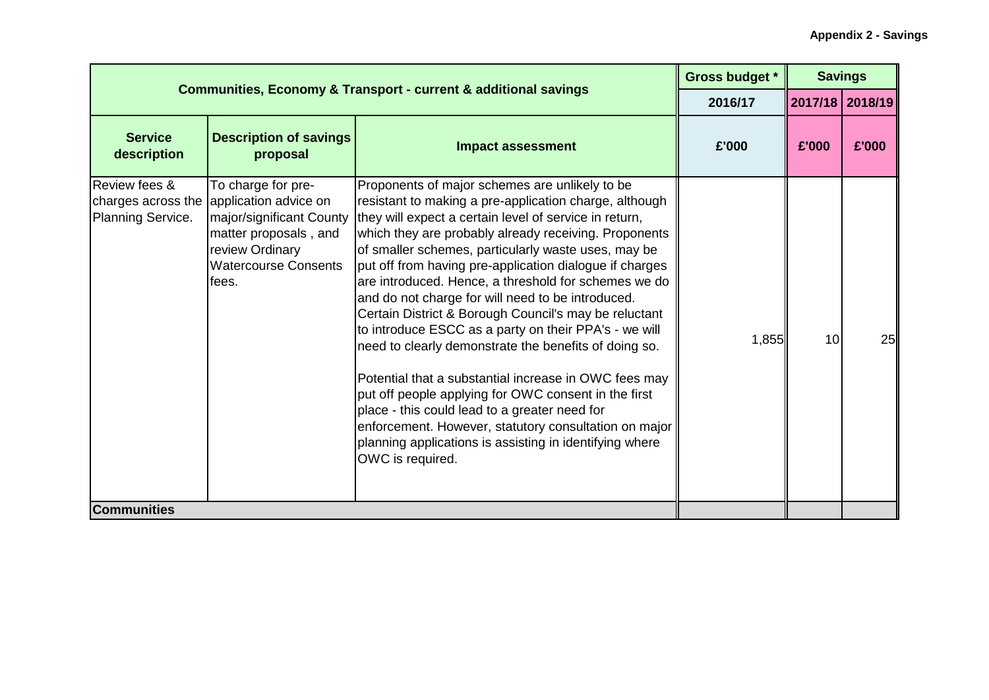| <b>Communities, Economy &amp; Transport - current &amp; additional savings</b> |                                                                                                                                                                                |                                                                                                                                                                                                                                                                                                                                                                                                                                                                                                                                                                                                                                                                                                                                                                                                                                                                                                                                                 | <b>Gross budget *</b> |                 | <b>Savings</b> |
|--------------------------------------------------------------------------------|--------------------------------------------------------------------------------------------------------------------------------------------------------------------------------|-------------------------------------------------------------------------------------------------------------------------------------------------------------------------------------------------------------------------------------------------------------------------------------------------------------------------------------------------------------------------------------------------------------------------------------------------------------------------------------------------------------------------------------------------------------------------------------------------------------------------------------------------------------------------------------------------------------------------------------------------------------------------------------------------------------------------------------------------------------------------------------------------------------------------------------------------|-----------------------|-----------------|----------------|
|                                                                                |                                                                                                                                                                                |                                                                                                                                                                                                                                                                                                                                                                                                                                                                                                                                                                                                                                                                                                                                                                                                                                                                                                                                                 | 2016/17               | 2017/18 2018/19 |                |
| <b>Service</b><br>description                                                  | <b>Description of savings</b><br>proposal                                                                                                                                      | <b>Impact assessment</b>                                                                                                                                                                                                                                                                                                                                                                                                                                                                                                                                                                                                                                                                                                                                                                                                                                                                                                                        | £'000                 | £'000           | £'000          |
| Review fees &<br>Planning Service.                                             | To charge for pre-<br>charges across the application advice on<br>major/significant County<br>matter proposals, and<br>review Ordinary<br><b>Watercourse Consents</b><br>fees. | Proponents of major schemes are unlikely to be<br>resistant to making a pre-application charge, although<br>they will expect a certain level of service in return,<br>which they are probably already receiving. Proponents<br>of smaller schemes, particularly waste uses, may be<br>put off from having pre-application dialogue if charges<br>are introduced. Hence, a threshold for schemes we do<br>and do not charge for will need to be introduced.<br>Certain District & Borough Council's may be reluctant<br>to introduce ESCC as a party on their PPA's - we will<br>need to clearly demonstrate the benefits of doing so.<br>Potential that a substantial increase in OWC fees may<br>put off people applying for OWC consent in the first<br>place - this could lead to a greater need for<br>enforcement. However, statutory consultation on major<br>planning applications is assisting in identifying where<br>OWC is required. | 1,855                 | 10 <sup>1</sup> | 25             |
| <b>Communities</b>                                                             |                                                                                                                                                                                |                                                                                                                                                                                                                                                                                                                                                                                                                                                                                                                                                                                                                                                                                                                                                                                                                                                                                                                                                 |                       |                 |                |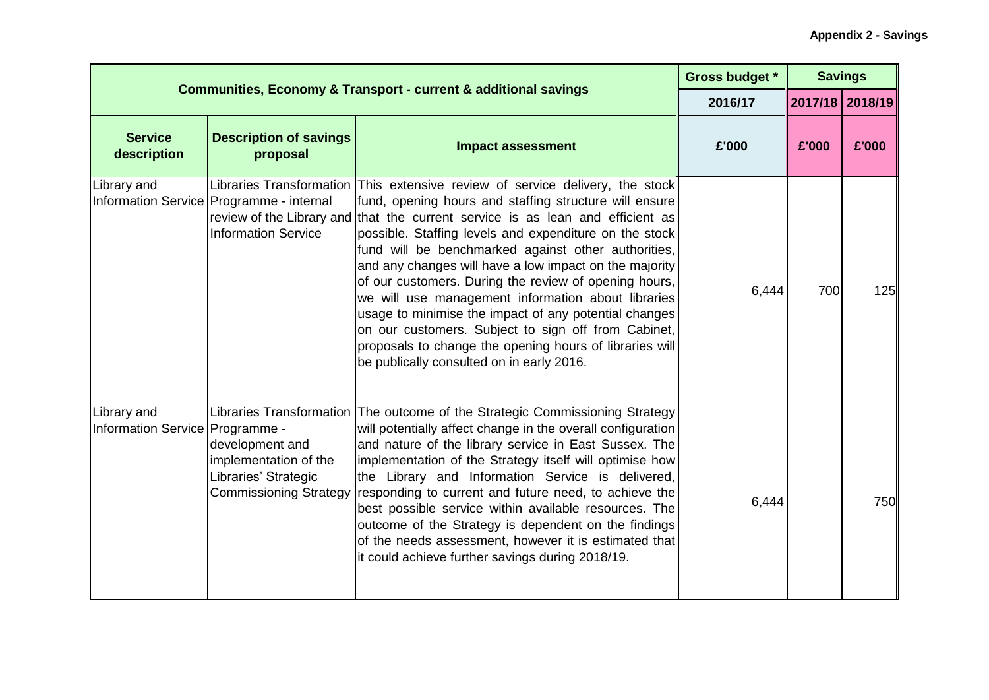| <b>Communities, Economy &amp; Transport - current &amp; additional savings</b> |                                                                                                   |                                                                                                                                                                                                                                                                                                                                                                                                                                                                                                                                                                                                                                                                                                                                             | <b>Gross budget *</b> |                 | <b>Savings</b> |  |
|--------------------------------------------------------------------------------|---------------------------------------------------------------------------------------------------|---------------------------------------------------------------------------------------------------------------------------------------------------------------------------------------------------------------------------------------------------------------------------------------------------------------------------------------------------------------------------------------------------------------------------------------------------------------------------------------------------------------------------------------------------------------------------------------------------------------------------------------------------------------------------------------------------------------------------------------------|-----------------------|-----------------|----------------|--|
|                                                                                |                                                                                                   |                                                                                                                                                                                                                                                                                                                                                                                                                                                                                                                                                                                                                                                                                                                                             | 2016/17               | 2017/18 2018/19 |                |  |
| <b>Service</b><br>description                                                  | <b>Description of savings</b><br>proposal                                                         | <b>Impact assessment</b>                                                                                                                                                                                                                                                                                                                                                                                                                                                                                                                                                                                                                                                                                                                    | £'000                 | £'000           | £'000          |  |
| Library and                                                                    | Information Service   Programme - internal<br><b>Information Service</b>                          | Libraries Transformation This extensive review of service delivery, the stock<br>fund, opening hours and staffing structure will ensure<br>review of the Library and that the current service is as lean and efficient as<br>possible. Staffing levels and expenditure on the stock<br>fund will be benchmarked against other authorities,<br>and any changes will have a low impact on the majority<br>of our customers. During the review of opening hours,<br>we will use management information about libraries<br>usage to minimise the impact of any potential changes<br>on our customers. Subject to sign off from Cabinet,<br>proposals to change the opening hours of libraries will<br>be publically consulted on in early 2016. | 6,444                 | 700             | 125            |  |
| Library and<br>Information Service   Programme -                               | development and<br>implementation of the<br>Libraries' Strategic<br><b>Commissioning Strategy</b> | Libraries Transformation The outcome of the Strategic Commissioning Strategy<br>will potentially affect change in the overall configuration<br>and nature of the library service in East Sussex. The<br>implementation of the Strategy itself will optimise how<br>the Library and Information Service is delivered,<br>responding to current and future need, to achieve the<br>best possible service within available resources. The<br>outcome of the Strategy is dependent on the findings<br>of the needs assessment, however it is estimated that<br>it could achieve further savings during 2018/19.                                                                                                                                 | 6,444                 |                 | 750            |  |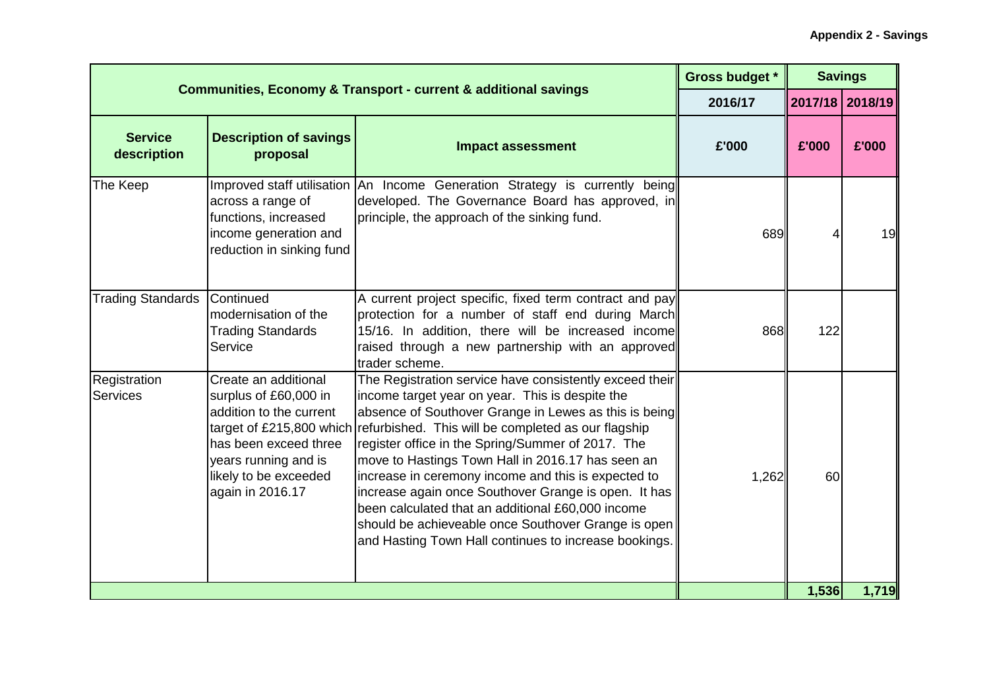| <b>Communities, Economy &amp; Transport - current &amp; additional savings</b> |                                                                                                                                                                        |                                                                                                                                                                                                                                                                                                                                                                                                                                                                                                                                                                                                                                                   | Gross budget * | <b>Savings</b>  |       |
|--------------------------------------------------------------------------------|------------------------------------------------------------------------------------------------------------------------------------------------------------------------|---------------------------------------------------------------------------------------------------------------------------------------------------------------------------------------------------------------------------------------------------------------------------------------------------------------------------------------------------------------------------------------------------------------------------------------------------------------------------------------------------------------------------------------------------------------------------------------------------------------------------------------------------|----------------|-----------------|-------|
|                                                                                |                                                                                                                                                                        |                                                                                                                                                                                                                                                                                                                                                                                                                                                                                                                                                                                                                                                   | 2016/17        | 2017/18 2018/19 |       |
| <b>Service</b><br>description                                                  | <b>Description of savings</b><br>proposal                                                                                                                              | <b>Impact assessment</b>                                                                                                                                                                                                                                                                                                                                                                                                                                                                                                                                                                                                                          | £'000          | £'000           | £'000 |
| The Keep                                                                       | across a range of<br>functions, increased<br>income generation and<br>reduction in sinking fund                                                                        | Improved staff utilisation   An Income Generation Strategy is currently being <br>developed. The Governance Board has approved, in<br>principle, the approach of the sinking fund.                                                                                                                                                                                                                                                                                                                                                                                                                                                                | 689            |                 | 19    |
| <b>Trading Standards</b>                                                       | <b>Continued</b><br>modernisation of the<br><b>Trading Standards</b><br>Service                                                                                        | A current project specific, fixed term contract and pay<br>protection for a number of staff end during March<br>15/16. In addition, there will be increased income<br>raised through a new partnership with an approved<br>trader scheme.                                                                                                                                                                                                                                                                                                                                                                                                         | 868            | 122             |       |
| Registration<br>Services                                                       | Create an additional<br>surplus of £60,000 in<br>addition to the current<br>has been exceed three<br>years running and is<br>likely to be exceeded<br>again in 2016.17 | The Registration service have consistently exceed their<br>income target year on year. This is despite the<br>absence of Southover Grange in Lewes as this is being<br>target of £215,800 which refurbished. This will be completed as our flagship<br>register office in the Spring/Summer of 2017. The<br>move to Hastings Town Hall in 2016.17 has seen an<br>increase in ceremony income and this is expected to<br>increase again once Southover Grange is open. It has<br>been calculated that an additional £60,000 income<br>should be achieveable once Southover Grange is open<br>and Hasting Town Hall continues to increase bookings. | 1,262          | 60              |       |
|                                                                                |                                                                                                                                                                        |                                                                                                                                                                                                                                                                                                                                                                                                                                                                                                                                                                                                                                                   |                | 1,536           | 1,719 |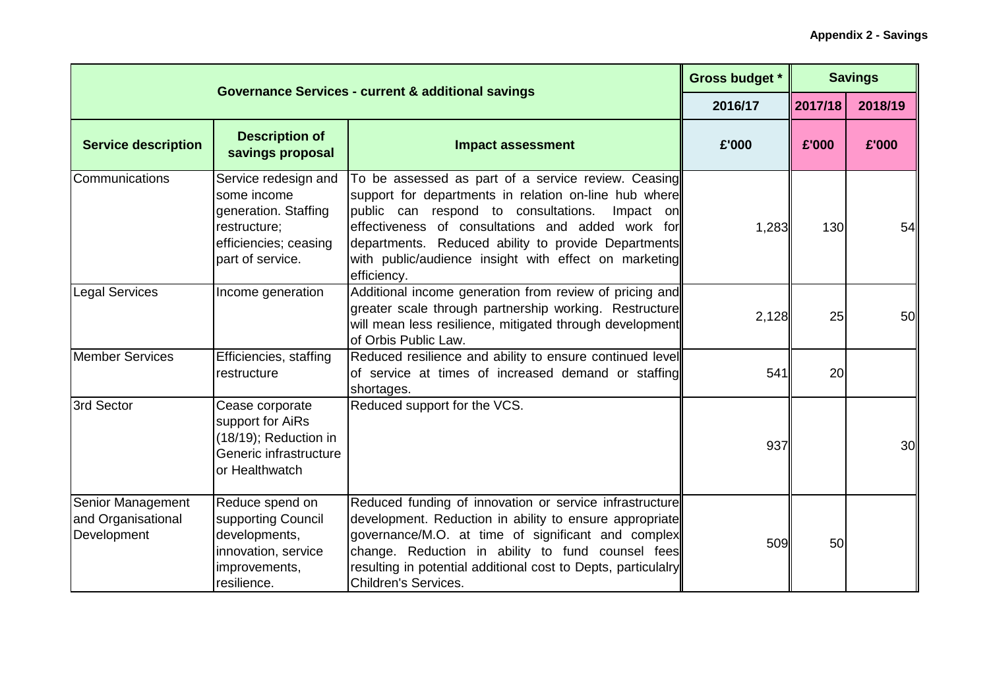|                                                        | <b>Governance Services - current &amp; additional savings</b>                                                            |                                                                                                                                                                                                                                                                                                                                                       | <b>Gross budget *</b> |         | <b>Savings</b> |
|--------------------------------------------------------|--------------------------------------------------------------------------------------------------------------------------|-------------------------------------------------------------------------------------------------------------------------------------------------------------------------------------------------------------------------------------------------------------------------------------------------------------------------------------------------------|-----------------------|---------|----------------|
|                                                        |                                                                                                                          |                                                                                                                                                                                                                                                                                                                                                       | 2016/17               | 2017/18 | 2018/19        |
| <b>Service description</b>                             | <b>Description of</b><br>savings proposal                                                                                | <b>Impact assessment</b>                                                                                                                                                                                                                                                                                                                              | £'000                 | £'000   | £'000          |
| Communications                                         | Service redesign and<br>some income<br>generation. Staffing<br>restructure;<br>efficiencies; ceasing<br>part of service. | To be assessed as part of a service review. Ceasing<br>support for departments in relation on-line hub where<br>public can respond to consultations.<br>Impact on<br>effectiveness of consultations and added work for<br>departments. Reduced ability to provide Departments<br>with public/audience insight with effect on marketing<br>efficiency. | 1,283                 | 130     | 54             |
| <b>Legal Services</b>                                  | Income generation                                                                                                        | Additional income generation from review of pricing and<br>greater scale through partnership working. Restructure<br>will mean less resilience, mitigated through development<br>of Orbis Public Law.                                                                                                                                                 | 2,128                 | 25      | 50             |
| <b>Member Services</b>                                 | Efficiencies, staffing<br>restructure                                                                                    | Reduced resilience and ability to ensure continued level<br>of service at times of increased demand or staffing<br>shortages.                                                                                                                                                                                                                         | 541                   | 20      |                |
| 3rd Sector                                             | Cease corporate<br>support for AiRs<br>(18/19); Reduction in<br>Generic infrastructure<br>or Healthwatch                 | Reduced support for the VCS.                                                                                                                                                                                                                                                                                                                          | 937                   |         | 30             |
| Senior Management<br>and Organisational<br>Development | Reduce spend on<br>supporting Council<br>developments,<br>innovation, service<br>improvements,<br>resilience.            | Reduced funding of innovation or service infrastructure<br>development. Reduction in ability to ensure appropriate<br>governance/M.O. at time of significant and complex<br>change. Reduction in ability to fund counsel fees<br>resulting in potential additional cost to Depts, particulalry<br><b>Children's Services.</b>                         | 509                   | 50      |                |